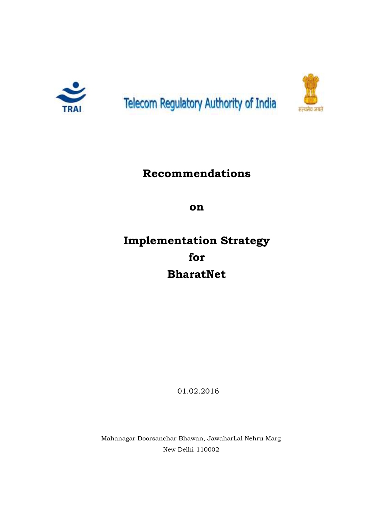





# **Recommendations**

**on**

# **Implementation Strategy for BharatNet**

01.02.2016

Mahanagar Doorsanchar Bhawan, JawaharLal Nehru Marg New Delhi-110002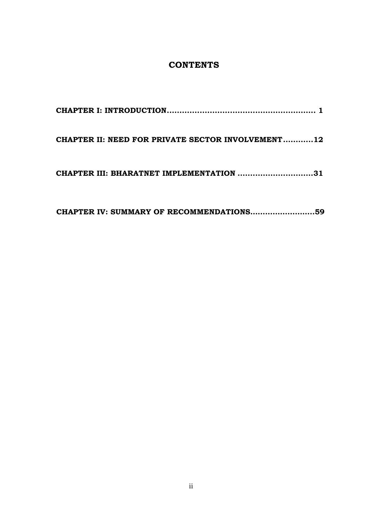# **CONTENTS**

| CHAPTER II: NEED FOR PRIVATE SECTOR INVOLVEMENT12 |
|---------------------------------------------------|
| CHAPTER III: BHARATNET IMPLEMENTATION 31          |
|                                                   |

**CHAPTER IV: SUMMARY OF RECOMMENDATIONS……………………..59**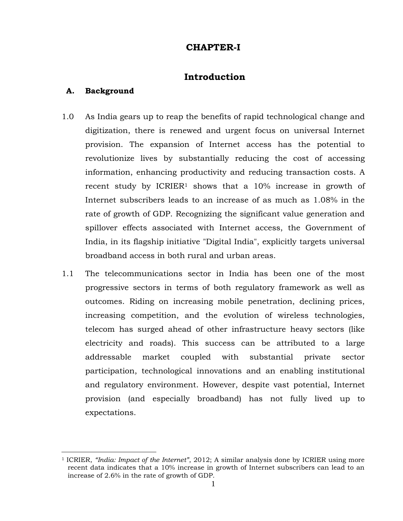# **CHAPTER-I**

# **Introduction**

### <span id="page-2-0"></span>**A. Background**

- 1.0 As India gears up to reap the benefits of rapid technological change and digitization, there is renewed and urgent focus on universal Internet provision. The expansion of Internet access has the potential to revolutionize lives by substantially reducing the cost of accessing information, enhancing productivity and reducing transaction costs. A recent study by ICRIER<sup>1</sup> shows that a 10% increase in growth of Internet subscribers leads to an increase of as much as 1.08% in the rate of growth of GDP. Recognizing the significant value generation and spillover effects associated with Internet access, the Government of India, in its flagship initiative "Digital India", explicitly targets universal broadband access in both rural and urban areas.
- 1.1 The telecommunications sector in India has been one of the most progressive sectors in terms of both regulatory framework as well as outcomes. Riding on increasing mobile penetration, declining prices, increasing competition, and the evolution of wireless technologies, telecom has surged ahead of other infrastructure heavy sectors (like electricity and roads). This success can be attributed to a large addressable market coupled with substantial private sector participation, technological innovations and an enabling institutional and regulatory environment. However, despite vast potential, Internet provision (and especially broadband) has not fully lived up to expectations.

<sup>1</sup> ICRIER, *"India: Impact of the Internet"*, 2012; A similar analysis done by ICRIER using more recent data indicates that a 10% increase in growth of Internet subscribers can lead to an increase of 2.6% in the rate of growth of GDP.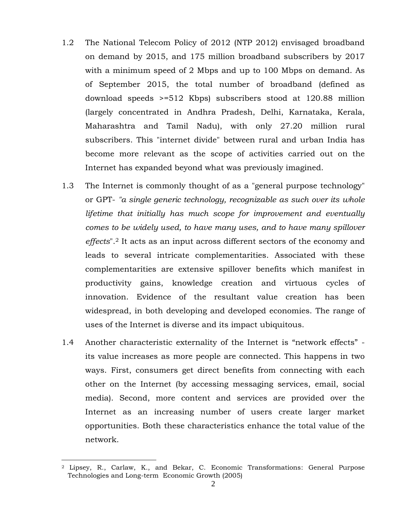- 1.2 The National Telecom Policy of 2012 (NTP 2012) envisaged broadband on demand by 2015, and 175 million broadband subscribers by 2017 with a minimum speed of 2 Mbps and up to 100 Mbps on demand. As of September 2015, the total number of broadband (defined as download speeds >=512 Kbps) subscribers stood at 120.88 million (largely concentrated in Andhra Pradesh, Delhi, Karnataka, Kerala, Maharashtra and Tamil Nadu), with only 27.20 million rural subscribers. This "internet divide" between rural and urban India has become more relevant as the scope of activities carried out on the Internet has expanded beyond what was previously imagined.
- 1.3 The Internet is commonly thought of as a "general purpose technology" or GPT- *"a single generic technology, recognizable as such over its whole lifetime that initially has much scope for improvement and eventually comes to be widely used, to have many uses, and to have many spillover effects*".<sup>2</sup> It acts as an input across different sectors of the economy and leads to several intricate complementarities. Associated with these complementarities are extensive spillover benefits which manifest in productivity gains, knowledge creation and virtuous cycles of innovation. Evidence of the resultant value creation has been widespread, in both developing and developed economies. The range of uses of the Internet is diverse and its impact ubiquitous.
- 1.4 Another characteristic externality of the Internet is "network effects" its value increases as more people are connected. This happens in two ways. First, consumers get direct benefits from connecting with each other on the Internet (by accessing messaging services, email, social media). Second, more content and services are provided over the Internet as an increasing number of users create larger market opportunities. Both these characteristics enhance the total value of the network.

<sup>2</sup> Lipsey, R., Carlaw, K., and Bekar, C. Economic Transformations: General Purpose Technologies and Long-term Economic Growth (2005)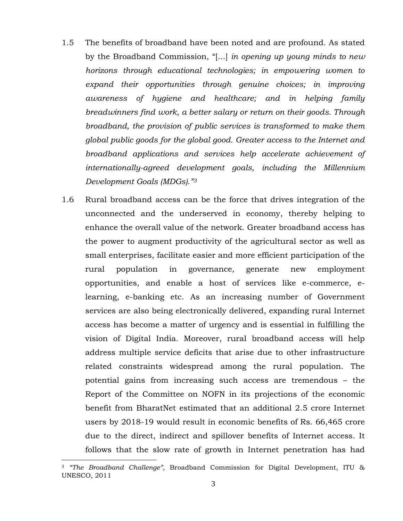- 1.5 The benefits of broadband have been noted and are profound. As stated by the Broadband Commission, "[...] *in opening up young minds to new horizons through educational technologies; in empowering women to expand their opportunities through genuine choices; in improving awareness of hygiene and healthcare; and in helping family breadwinners find work, a better salary or return on their goods. Through broadband, the provision of public services is transformed to make them global public goods for the global good. Greater access to the Internet and broadband applications and services help accelerate achievement of internationally-agreed development goals, including the Millennium Development Goals (MDGs)." 3*
- 1.6 Rural broadband access can be the force that drives integration of the unconnected and the underserved in economy, thereby helping to enhance the overall value of the network. Greater broadband access has the power to augment productivity of the agricultural sector as well as small enterprises, facilitate easier and more efficient participation of the rural population in governance, generate new employment opportunities, and enable a host of services like e-commerce, elearning, e-banking etc. As an increasing number of Government services are also being electronically delivered, expanding rural Internet access has become a matter of urgency and is essential in fulfilling the vision of Digital India. Moreover, rural broadband access will help address multiple service deficits that arise due to other infrastructure related constraints widespread among the rural population. The potential gains from increasing such access are tremendous – the Report of the Committee on NOFN in its projections of the economic benefit from BharatNet estimated that an additional 2.5 crore Internet users by 2018-19 would result in economic benefits of Rs. 66,465 crore due to the direct, indirect and spillover benefits of Internet access. It follows that the slow rate of growth in Internet penetration has had

<sup>3</sup> *"The Broadband Challenge",* Broadband Commission for Digital Development, ITU & UNESCO, 2011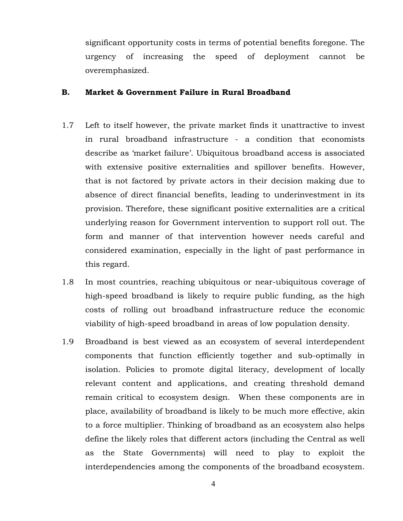significant opportunity costs in terms of potential benefits foregone. The urgency of increasing the speed of deployment cannot be overemphasized.

#### **B. Market & Government Failure in Rural Broadband**

- 1.7 Left to itself however, the private market finds it unattractive to invest in rural broadband infrastructure - a condition that economists describe as 'market failure'. Ubiquitous broadband access is associated with extensive positive externalities and spillover benefits. However, that is not factored by private actors in their decision making due to absence of direct financial benefits, leading to underinvestment in its provision. Therefore, these significant positive externalities are a critical underlying reason for Government intervention to support roll out. The form and manner of that intervention however needs careful and considered examination, especially in the light of past performance in this regard.
- 1.8 In most countries, reaching ubiquitous or near-ubiquitous coverage of high-speed broadband is likely to require public funding, as the high costs of rolling out broadband infrastructure reduce the economic viability of high-speed broadband in areas of low population density.
- 1.9 Broadband is best viewed as an ecosystem of several interdependent components that function efficiently together and sub-optimally in isolation. Policies to promote digital literacy, development of locally relevant content and applications, and creating threshold demand remain critical to ecosystem design. When these components are in place, availability of broadband is likely to be much more effective, akin to a force multiplier. Thinking of broadband as an ecosystem also helps define the likely roles that different actors (including the Central as well as the State Governments) will need to play to exploit the interdependencies among the components of the broadband ecosystem.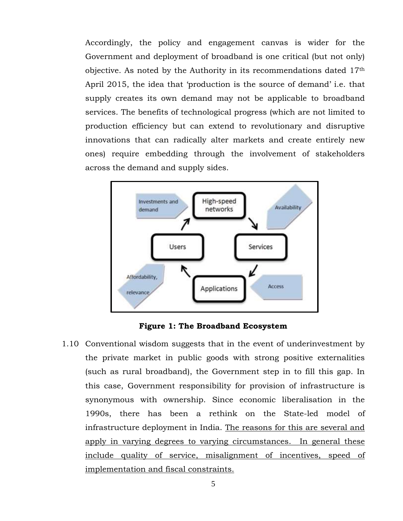Accordingly, the policy and engagement canvas is wider for the Government and deployment of broadband is one critical (but not only) objective. As noted by the Authority in its recommendations dated 17th April 2015, the idea that 'production is the source of demand' i.e. that supply creates its own demand may not be applicable to broadband services. The benefits of technological progress (which are not limited to production efficiency but can extend to revolutionary and disruptive innovations that can radically alter markets and create entirely new ones) require embedding through the involvement of stakeholders across the demand and supply sides.



**Figure 1: The Broadband Ecosystem**

1.10 Conventional wisdom suggests that in the event of underinvestment by the private market in public goods with strong positive externalities (such as rural broadband), the Government step in to fill this gap. In this case, Government responsibility for provision of infrastructure is synonymous with ownership. Since economic liberalisation in the 1990s, there has been a rethink on the State-led model of infrastructure deployment in India. The reasons for this are several and apply in varying degrees to varying circumstances. In general these include quality of service, misalignment of incentives, speed of implementation and fiscal constraints.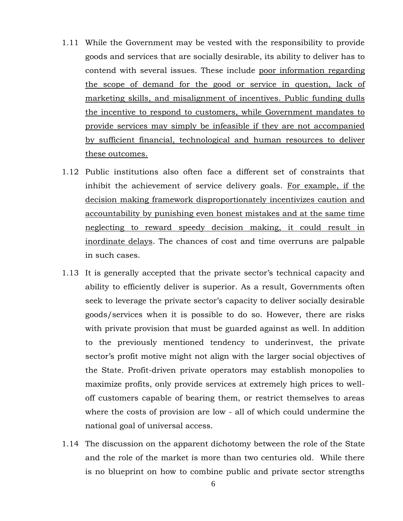- 1.11 While the Government may be vested with the responsibility to provide goods and services that are socially desirable, its ability to deliver has to contend with several issues. These include poor information regarding the scope of demand for the good or service in question, lack of marketing skills, and misalignment of incentives. Public funding dulls the incentive to respond to customers, while Government mandates to provide services may simply be infeasible if they are not accompanied by sufficient financial, technological and human resources to deliver these outcomes.
- 1.12 Public institutions also often face a different set of constraints that inhibit the achievement of service delivery goals. For example, if the decision making framework disproportionately incentivizes caution and accountability by punishing even honest mistakes and at the same time neglecting to reward speedy decision making, it could result in inordinate delays. The chances of cost and time overruns are palpable in such cases.
- 1.13 It is generally accepted that the private sector's technical capacity and ability to efficiently deliver is superior. As a result, Governments often seek to leverage the private sector's capacity to deliver socially desirable goods/services when it is possible to do so. However, there are risks with private provision that must be guarded against as well. In addition to the previously mentioned tendency to underinvest, the private sector's profit motive might not align with the larger social objectives of the State. Profit-driven private operators may establish monopolies to maximize profits, only provide services at extremely high prices to welloff customers capable of bearing them, or restrict themselves to areas where the costs of provision are low - all of which could undermine the national goal of universal access.
- 1.14 The discussion on the apparent dichotomy between the role of the State and the role of the market is more than two centuries old. While there is no blueprint on how to combine public and private sector strengths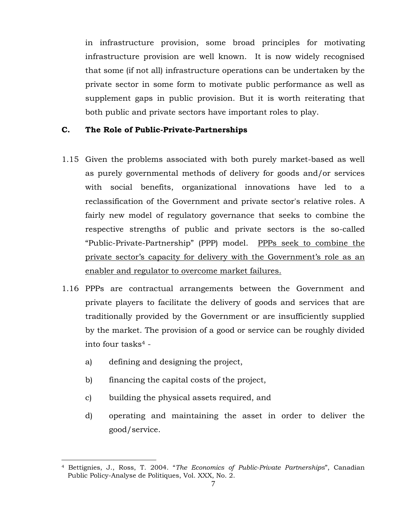in infrastructure provision, some broad principles for motivating infrastructure provision are well known. It is now widely recognised that some (if not all) infrastructure operations can be undertaken by the private sector in some form to motivate public performance as well as supplement gaps in public provision. But it is worth reiterating that both public and private sectors have important roles to play.

### **C. The Role of Public-Private-Partnerships**

- 1.15 Given the problems associated with both purely market-based as well as purely governmental methods of delivery for goods and/or services with social benefits, organizational innovations have led to a reclassification of the Government and private sector's relative roles. A fairly new model of regulatory governance that seeks to combine the respective strengths of public and private sectors is the so-called "Public-Private-Partnership" (PPP) model. PPPs seek to combine the private sector's capacity for delivery with the Government's role as an enabler and regulator to overcome market failures.
- 1.16 PPPs are contractual arrangements between the Government and private players to facilitate the delivery of goods and services that are traditionally provided by the Government or are insufficiently supplied by the market. The provision of a good or service can be roughly divided into four tasks<sup>4</sup>
	- a) defining and designing the project,

- b) financing the capital costs of the project,
- c) building the physical assets required, and
- d) operating and maintaining the asset in order to deliver the good/service.

<sup>4</sup> Bettignies, J., Ross, T. 2004. "*The Economics of Public-Private Partnerships*", Canadian Public Policy-Analyse de Politiques, Vol. XXX, No. 2.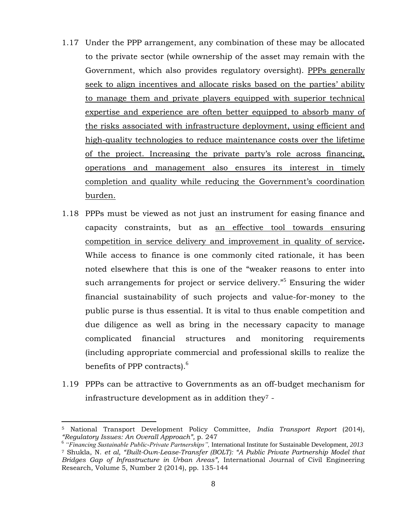- 1.17 Under the PPP arrangement, any combination of these may be allocated to the private sector (while ownership of the asset may remain with the Government, which also provides regulatory oversight). PPPs generally seek to align incentives and allocate risks based on the parties' ability to manage them and private players equipped with superior technical expertise and experience are often better equipped to absorb many of the risks associated with infrastructure deployment, using efficient and high-quality technologies to reduce maintenance costs over the lifetime of the project. Increasing the private party's role across financing, operations and management also ensures its interest in timely completion and quality while reducing the Government's coordination burden.
- 1.18 PPPs must be viewed as not just an instrument for easing finance and capacity constraints, but as an effective tool towards ensuring competition in service delivery and improvement in quality of service**.**  While access to finance is one commonly cited rationale, it has been noted elsewhere that this is one of the "weaker reasons to enter into such arrangements for project or service delivery.<sup>"5</sup> Ensuring the wider financial sustainability of such projects and value-for-money to the public purse is thus essential. It is vital to thus enable competition and due diligence as well as bring in the necessary capacity to manage complicated financial structures and monitoring requirements (including appropriate commercial and professional skills to realize the benefits of PPP contracts).<sup>6</sup>
- 1.19 PPPs can be attractive to Governments as an off-budget mechanism for infrastructure development as in addition they<sup>7</sup> -

<sup>5</sup> National Transport Development Policy Committee, *India Transport Report* (2014), *"Regulatory Issues: An Overall Approach",* p. 247

<sup>6</sup> *"Financing Sustainable Public-Private Partnerships",* International Institute for Sustainable Development, *2013* <sup>7</sup> Shukla, N. *et al, "Built-Own-Lease-Transfer (BOLT): "A Public Private Partnership Model that Bridges Gap of Infrastructure in Urban Areas",* International Journal of Civil Engineering Research, Volume 5, Number 2 (2014), pp. 135-144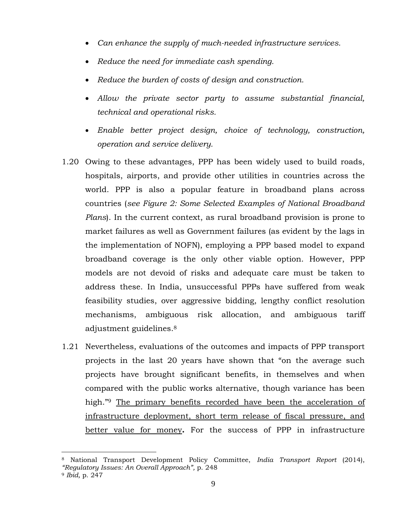- *Can enhance the supply of much-needed infrastructure services.*
- *Reduce the need for immediate cash spending.*
- *Reduce the burden of costs of design and construction.*
- *Allow the private sector party to assume substantial financial, technical and operational risks.*
- *Enable better project design, choice of technology, construction, operation and service delivery.*
- 1.20 Owing to these advantages, PPP has been widely used to build roads, hospitals, airports, and provide other utilities in countries across the world. PPP is also a popular feature in broadband plans across countries (*see [Figure 2: Some Selected Examples of National Broadband](#page-11-0)  [Plans](#page-11-0)*). In the current context, as rural broadband provision is prone to market failures as well as Government failures (as evident by the lags in the implementation of NOFN), employing a PPP based model to expand broadband coverage is the only other viable option. However, PPP models are not devoid of risks and adequate care must be taken to address these. In India, unsuccessful PPPs have suffered from weak feasibility studies, over aggressive bidding, lengthy conflict resolution mechanisms, ambiguous risk allocation, and ambiguous tariff adjustment guidelines.<sup>8</sup>
- 1.21 Nevertheless, evaluations of the outcomes and impacts of PPP transport projects in the last 20 years have shown that "on the average such projects have brought significant benefits, in themselves and when compared with the public works alternative, though variance has been high."<sup>9</sup> The primary benefits recorded have been the acceleration of infrastructure deployment, short term release of fiscal pressure, and better value for money**.** For the success of PPP in infrastructure

<sup>8</sup> National Transport Development Policy Committee, *India Transport Report* (2014), *"Regulatory Issues: An Overall Approach",* p. 248

<sup>9</sup> *Ibid,* p. 247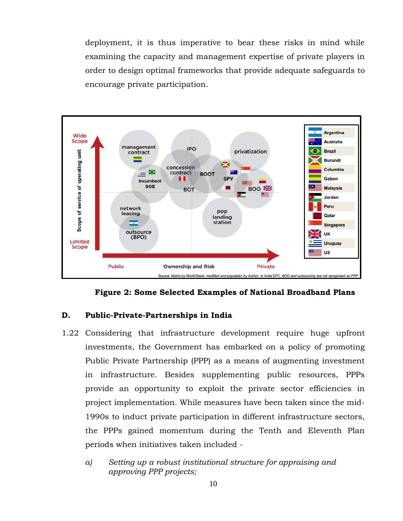deployment, it is thus imperative to bear these risks in mind while examining the capacity and management expertise of private players in order to design optimal frameworks that provide adequate safeguards to encourage private participation.



**Figure 2: Some Selected Examples of National Broadband Plans**

#### <span id="page-11-0"></span>**D. Public-Private-Partnerships in India**

- 1.22 Considering that infrastructure development require huge upfront investments, the Government has embarked on a policy of promoting Public Private Partnership (PPP) as a means of augmenting investment in infrastructure. Besides supplementing public resources, PPPs provide an opportunity to exploit the private sector efficiencies in project implementation. While measures have been taken since the mid-1990s to induct private participation in different infrastructure sectors, the PPPs gained momentum during the Tenth and Eleventh Plan periods when initiatives taken included
	- *a) Setting up a robust institutional structure for appraising and approving PPP projects;*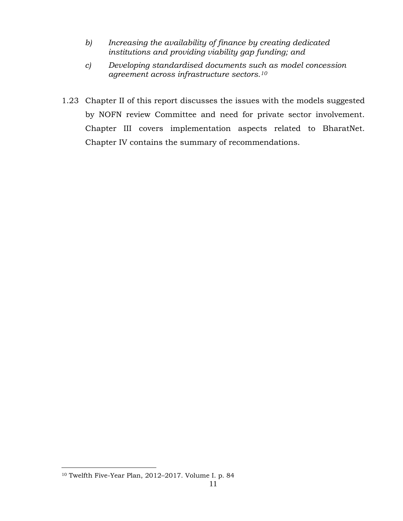- *b) Increasing the availability of finance by creating dedicated institutions and providing viability gap funding; and*
- *c) Developing standardised documents such as model concession agreement across infrastructure sectors.<sup>10</sup>*
- 1.23 Chapter II of this report discusses the issues with the models suggested by NOFN review Committee and need for private sector involvement. Chapter III covers implementation aspects related to BharatNet. Chapter IV contains the summary of recommendations.

<sup>10</sup> Twelfth Five-Year Plan, 2012–2017. Volume I. p. 84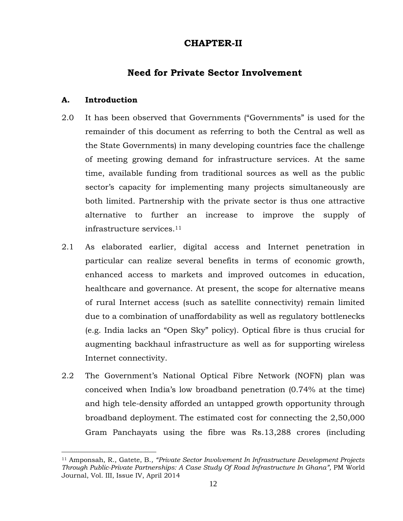# **CHAPTER-II**

# **Need for Private Sector Involvement**

### **A. Introduction**

- 2.0 It has been observed that Governments ("Governments" is used for the remainder of this document as referring to both the Central as well as the State Governments) in many developing countries face the challenge of meeting growing demand for infrastructure services. At the same time, available funding from traditional sources as well as the public sector's capacity for implementing many projects simultaneously are both limited. Partnership with the private sector is thus one attractive alternative to further an increase to improve the supply of infrastructure services.<sup>11</sup>
- 2.1 As elaborated earlier, digital access and Internet penetration in particular can realize several benefits in terms of economic growth, enhanced access to markets and improved outcomes in education, healthcare and governance. At present, the scope for alternative means of rural Internet access (such as satellite connectivity) remain limited due to a combination of unaffordability as well as regulatory bottlenecks (e.g. India lacks an "Open Sky" policy). Optical fibre is thus crucial for augmenting backhaul infrastructure as well as for supporting wireless Internet connectivity.
- 2.2 The Government's National Optical Fibre Network (NOFN) plan was conceived when India's low broadband penetration (0.74% at the time) and high tele-density afforded an untapped growth opportunity through broadband deployment. The estimated cost for connecting the 2,50,000 Gram Panchayats using the fibre was Rs.13,288 crores (including

<sup>11</sup> Amponsah, R., Gatete, B.*, "Private Sector Involvement In Infrastructure Development Projects Through Public-Private Partnerships: A Case Study Of Road Infrastructure In Ghana",* PM World Journal, Vol. III, Issue IV, April 2014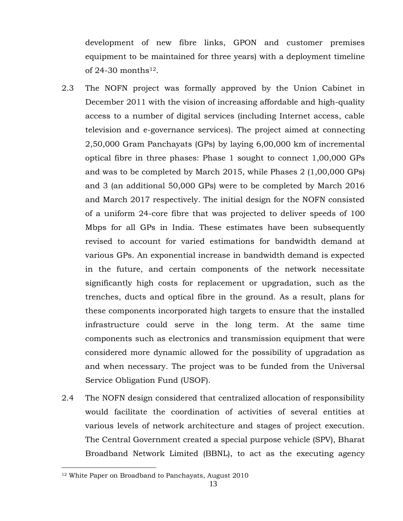development of new fibre links, GPON and customer premises equipment to be maintained for three years) with a deployment timeline of  $24-30$  months<sup>12</sup>.

- 2.3 The NOFN project was formally approved by the Union Cabinet in December 2011 with the vision of increasing affordable and high-quality access to a number of digital services (including Internet access, cable television and e-governance services). The project aimed at connecting 2,50,000 Gram Panchayats (GPs) by laying 6,00,000 km of incremental optical fibre in three phases: Phase 1 sought to connect 1,00,000 GPs and was to be completed by March 2015, while Phases 2 (1,00,000 GPs) and 3 (an additional 50,000 GPs) were to be completed by March 2016 and March 2017 respectively. The initial design for the NOFN consisted of a uniform 24-core fibre that was projected to deliver speeds of 100 Mbps for all GPs in India. These estimates have been subsequently revised to account for varied estimations for bandwidth demand at various GPs. An exponential increase in bandwidth demand is expected in the future, and certain components of the network necessitate significantly high costs for replacement or upgradation, such as the trenches, ducts and optical fibre in the ground. As a result, plans for these components incorporated high targets to ensure that the installed infrastructure could serve in the long term. At the same time components such as electronics and transmission equipment that were considered more dynamic allowed for the possibility of upgradation as and when necessary. The project was to be funded from the Universal Service Obligation Fund (USOF).
- 2.4 The NOFN design considered that centralized allocation of responsibility would facilitate the coordination of activities of several entities at various levels of network architecture and stages of project execution. The Central Government created a special purpose vehicle (SPV), Bharat Broadband Network Limited (BBNL), to act as the executing agency

<sup>12</sup> White Paper on Broadband to Panchayats, August 2010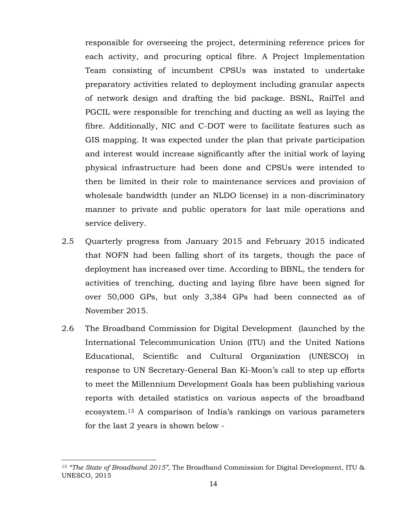responsible for overseeing the project, determining reference prices for each activity, and procuring optical fibre. A Project Implementation Team consisting of incumbent CPSUs was instated to undertake preparatory activities related to deployment including granular aspects of network design and drafting the bid package. BSNL, RailTel and PGCIL were responsible for trenching and ducting as well as laying the fibre. Additionally, NIC and C-DOT were to facilitate features such as GIS mapping. It was expected under the plan that private participation and interest would increase significantly after the initial work of laying physical infrastructure had been done and CPSUs were intended to then be limited in their role to maintenance services and provision of wholesale bandwidth (under an NLDO license) in a non-discriminatory manner to private and public operators for last mile operations and service delivery.

- 2.5 Quarterly progress from January 2015 and February 2015 indicated that NOFN had been falling short of its targets, though the pace of deployment has increased over time. According to BBNL, the tenders for activities of trenching, ducting and laying fibre have been signed for over 50,000 GPs, but only 3,384 GPs had been connected as of November 2015.
- 2.6 The Broadband Commission for Digital Development (launched by the International Telecommunication Union (ITU) and the United Nations Educational, Scientific and Cultural Organization (UNESCO) in response to UN Secretary-General Ban Ki-Moon's call to step up efforts to meet the Millennium Development Goals has been publishing various reports with detailed statistics on various aspects of the broadband ecosystem.<sup>13</sup> A comparison of India's rankings on various parameters for the last 2 years is shown below -

<sup>13</sup> *"The State of Broadband 2015",* The Broadband Commission for Digital Development, ITU & UNESCO, 2015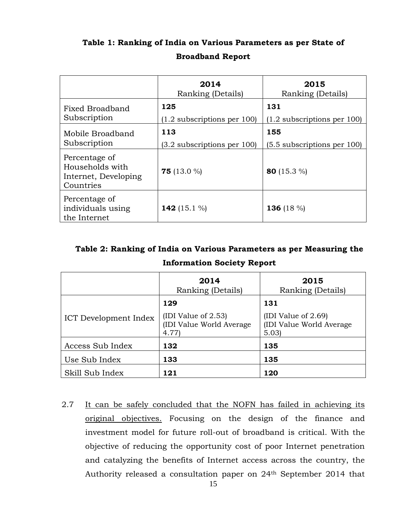|                                                                       | 2014<br>Ranking (Details)            | 2015<br>Ranking (Details)            |
|-----------------------------------------------------------------------|--------------------------------------|--------------------------------------|
| Fixed Broadband<br>Subscription                                       | 125<br>$(1.2$ subscriptions per 100) | 131<br>$(1.2$ subscriptions per 100) |
| Mobile Broadband<br>Subscription                                      | 113<br>(3.2 subscriptions per 100)   | 155<br>(5.5 subscriptions per 100)   |
| Percentage of<br>Households with<br>Internet, Developing<br>Countries | <b>75</b> (13.0 %)                   | 80 $(15.3\%)$                        |
| Percentage of<br>individuals using<br>the Internet                    | 142 (15.1 %)                         | 136 (18 $\%$ )                       |

# **Table 1: Ranking of India on Various Parameters as per State of Broadband Report**

# **Table 2: Ranking of India on Various Parameters as per Measuring the Information Society Report**

|                       | 2014<br>Ranking (Details)                                           | 2015<br>Ranking (Details)                                         |  |
|-----------------------|---------------------------------------------------------------------|-------------------------------------------------------------------|--|
| ICT Development Index | 129<br>(IDI Value of $2.53$ )<br>(IDI Value World Average)<br>4.77) | 131<br>(IDI Value of $2.69$ )<br>(IDI Value World Average<br>5.03 |  |
| Access Sub Index      | 132                                                                 | 135                                                               |  |
| Use Sub Index         | 133                                                                 | 135                                                               |  |
| Skill Sub Index       | 121                                                                 | 120                                                               |  |

2.7 It can be safely concluded that the NOFN has failed in achieving its original objectives. Focusing on the design of the finance and investment model for future roll-out of broadband is critical. With the objective of reducing the opportunity cost of poor Internet penetration and catalyzing the benefits of Internet access across the country, the Authority released a consultation paper on 24th September 2014 that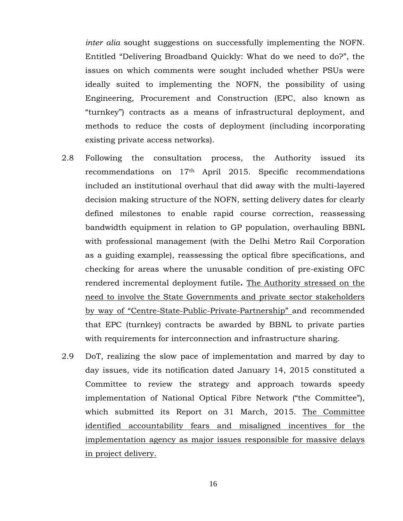*inter alia* sought suggestions on successfully implementing the NOFN. Entitled "Delivering Broadband Quickly: What do we need to do?", the issues on which comments were sought included whether PSUs were ideally suited to implementing the NOFN, the possibility of using Engineering, Procurement and Construction (EPC, also known as "turnkey") contracts as a means of infrastructural deployment, and methods to reduce the costs of deployment (including incorporating existing private access networks).

- 2.8 Following the consultation process, the Authority issued its recommendations on 17th April 2015. Specific recommendations included an institutional overhaul that did away with the multi-layered decision making structure of the NOFN, setting delivery dates for clearly defined milestones to enable rapid course correction, reassessing bandwidth equipment in relation to GP population, overhauling BBNL with professional management (with the Delhi Metro Rail Corporation as a guiding example), reassessing the optical fibre specifications, and checking for areas where the unusable condition of pre-existing OFC rendered incremental deployment futile**.** The Authority stressed on the need to involve the State Governments and private sector stakeholders by way of "Centre-State-Public-Private-Partnership" and recommended that EPC (turnkey) contracts be awarded by BBNL to private parties with requirements for interconnection and infrastructure sharing.
- 2.9 DoT, realizing the slow pace of implementation and marred by day to day issues, vide its notification dated January 14, 2015 constituted a Committee to review the strategy and approach towards speedy implementation of National Optical Fibre Network ("the Committee"), which submitted its Report on 31 March, 2015. The Committee identified accountability fears and misaligned incentives for the implementation agency as major issues responsible for massive delays in project delivery.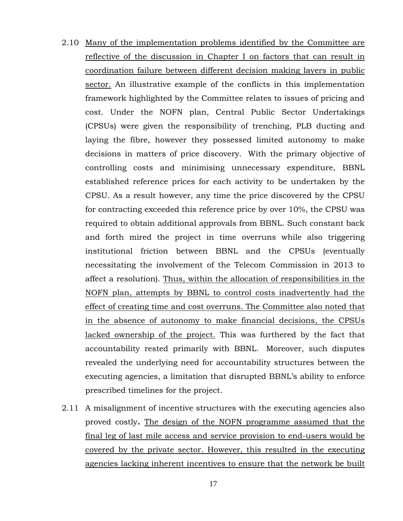- 2.10 Many of the implementation problems identified by the Committee are reflective of the discussion in Chapter I on factors that can result in coordination failure between different decision making layers in public sector. An illustrative example of the conflicts in this implementation framework highlighted by the Committee relates to issues of pricing and cost. Under the NOFN plan, Central Public Sector Undertakings (CPSUs) were given the responsibility of trenching, PLB ducting and laying the fibre, however they possessed limited autonomy to make decisions in matters of price discovery. With the primary objective of controlling costs and minimising unnecessary expenditure, BBNL established reference prices for each activity to be undertaken by the CPSU. As a result however, any time the price discovered by the CPSU for contracting exceeded this reference price by over 10%, the CPSU was required to obtain additional approvals from BBNL. Such constant back and forth mired the project in time overruns while also triggering institutional friction between BBNL and the CPSUs (eventually necessitating the involvement of the Telecom Commission in 2013 to affect a resolution). Thus, within the allocation of responsibilities in the NOFN plan, attempts by BBNL to control costs inadvertently had the effect of creating time and cost overruns. The Committee also noted that in the absence of autonomy to make financial decisions, the CPSUs lacked ownership of the project. This was furthered by the fact that accountability rested primarily with BBNL. Moreover, such disputes revealed the underlying need for accountability structures between the executing agencies, a limitation that disrupted BBNL's ability to enforce prescribed timelines for the project.
- 2.11 A misalignment of incentive structures with the executing agencies also proved costly**.** The design of the NOFN programme assumed that the final leg of last mile access and service provision to end-users would be covered by the private sector. However, this resulted in the executing agencies lacking inherent incentives to ensure that the network be built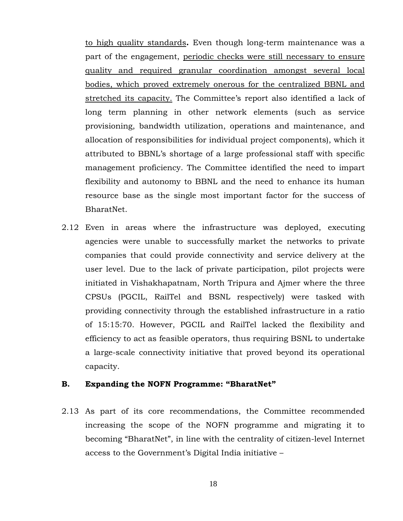to high quality standards**.** Even though long-term maintenance was a part of the engagement, periodic checks were still necessary to ensure quality and required granular coordination amongst several local bodies, which proved extremely onerous for the centralized BBNL and stretched its capacity. The Committee's report also identified a lack of long term planning in other network elements (such as service provisioning, bandwidth utilization, operations and maintenance, and allocation of responsibilities for individual project components), which it attributed to BBNL's shortage of a large professional staff with specific management proficiency. The Committee identified the need to impart flexibility and autonomy to BBNL and the need to enhance its human resource base as the single most important factor for the success of BharatNet.

2.12 Even in areas where the infrastructure was deployed, executing agencies were unable to successfully market the networks to private companies that could provide connectivity and service delivery at the user level. Due to the lack of private participation, pilot projects were initiated in Vishakhapatnam, North Tripura and Ajmer where the three CPSUs (PGCIL, RailTel and BSNL respectively) were tasked with providing connectivity through the established infrastructure in a ratio of 15:15:70. However, PGCIL and RailTel lacked the flexibility and efficiency to act as feasible operators, thus requiring BSNL to undertake a large-scale connectivity initiative that proved beyond its operational capacity.

#### **B. Expanding the NOFN Programme: "BharatNet"**

2.13 As part of its core recommendations, the Committee recommended increasing the scope of the NOFN programme and migrating it to becoming "BharatNet", in line with the centrality of citizen-level Internet access to the Government's Digital India initiative –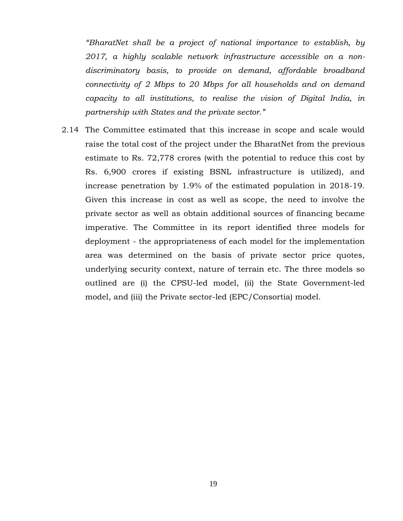*"BharatNet shall be a project of national importance to establish, by 2017, a highly scalable network infrastructure accessible on a nondiscriminatory basis, to provide on demand, affordable broadband connectivity of 2 Mbps to 20 Mbps for all households and on demand capacity to all institutions, to realise the vision of Digital India, in partnership with States and the private sector."*

2.14 The Committee estimated that this increase in scope and scale would raise the total cost of the project under the BharatNet from the previous estimate to Rs. 72,778 crores (with the potential to reduce this cost by Rs. 6,900 crores if existing BSNL infrastructure is utilized), and increase penetration by 1.9% of the estimated population in 2018-19. Given this increase in cost as well as scope, the need to involve the private sector as well as obtain additional sources of financing became imperative. The Committee in its report identified three models for deployment - the appropriateness of each model for the implementation area was determined on the basis of private sector price quotes, underlying security context, nature of terrain etc. The three models so outlined are (i) the CPSU-led model, (ii) the State Government-led model, and (iii) the Private sector-led (EPC/Consortia) model.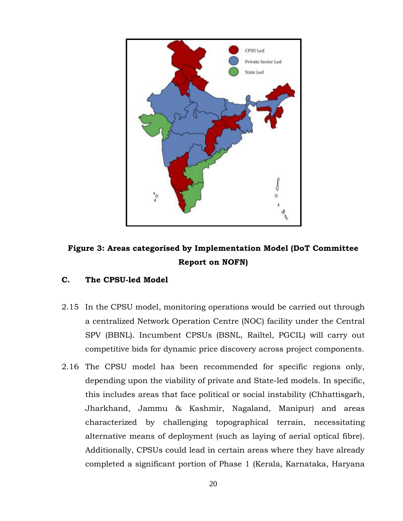

# **Figure 3: Areas categorised by Implementation Model (DoT Committee Report on NOFN)**

### **C. The CPSU-led Model**

- 2.15 In the CPSU model, monitoring operations would be carried out through a centralized Network Operation Centre (NOC) facility under the Central SPV (BBNL). Incumbent CPSUs (BSNL, Railtel, PGCIL) will carry out competitive bids for dynamic price discovery across project components.
- 2.16 The CPSU model has been recommended for specific regions only, depending upon the viability of private and State-led models. In specific, this includes areas that face political or social instability (Chhattisgarh, Jharkhand, Jammu & Kashmir, Nagaland, Manipur) and areas characterized by challenging topographical terrain, necessitating alternative means of deployment (such as laying of aerial optical fibre). Additionally, CPSUs could lead in certain areas where they have already completed a significant portion of Phase 1 (Kerala, Karnataka, Haryana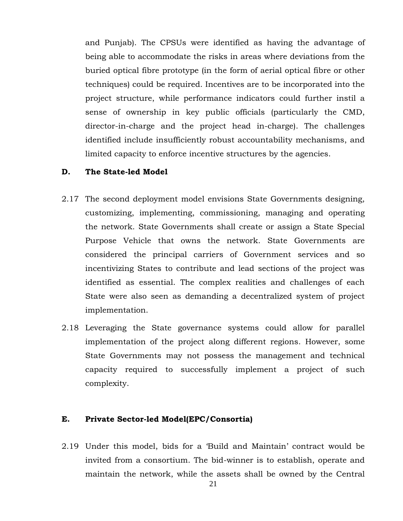and Punjab). The CPSUs were identified as having the advantage of being able to accommodate the risks in areas where deviations from the buried optical fibre prototype (in the form of aerial optical fibre or other techniques) could be required. Incentives are to be incorporated into the project structure, while performance indicators could further instil a sense of ownership in key public officials (particularly the CMD, director-in-charge and the project head in-charge). The challenges identified include insufficiently robust accountability mechanisms, and limited capacity to enforce incentive structures by the agencies.

#### **D. The State-led Model**

- 2.17 The second deployment model envisions State Governments designing, customizing, implementing, commissioning, managing and operating the network. State Governments shall create or assign a State Special Purpose Vehicle that owns the network. State Governments are considered the principal carriers of Government services and so incentivizing States to contribute and lead sections of the project was identified as essential. The complex realities and challenges of each State were also seen as demanding a decentralized system of project implementation.
- 2.18 Leveraging the State governance systems could allow for parallel implementation of the project along different regions. However, some State Governments may not possess the management and technical capacity required to successfully implement a project of such complexity.

#### **E. Private Sector-led Model(EPC/Consortia)**

2.19 Under this model, bids for a 'Build and Maintain' contract would be invited from a consortium. The bid-winner is to establish, operate and maintain the network, while the assets shall be owned by the Central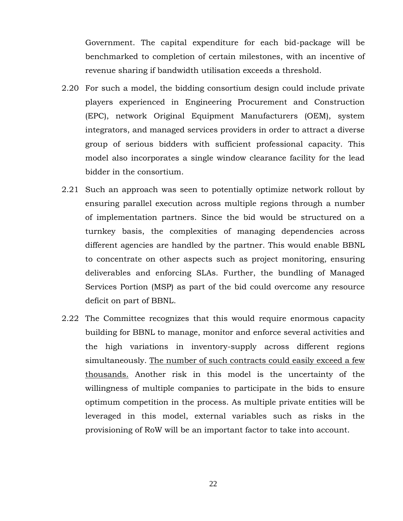Government. The capital expenditure for each bid-package will be benchmarked to completion of certain milestones, with an incentive of revenue sharing if bandwidth utilisation exceeds a threshold.

- 2.20 For such a model, the bidding consortium design could include private players experienced in Engineering Procurement and Construction (EPC), network Original Equipment Manufacturers (OEM), system integrators, and managed services providers in order to attract a diverse group of serious bidders with sufficient professional capacity. This model also incorporates a single window clearance facility for the lead bidder in the consortium.
- 2.21 Such an approach was seen to potentially optimize network rollout by ensuring parallel execution across multiple regions through a number of implementation partners. Since the bid would be structured on a turnkey basis, the complexities of managing dependencies across different agencies are handled by the partner. This would enable BBNL to concentrate on other aspects such as project monitoring, ensuring deliverables and enforcing SLAs. Further, the bundling of Managed Services Portion (MSP) as part of the bid could overcome any resource deficit on part of BBNL.
- 2.22 The Committee recognizes that this would require enormous capacity building for BBNL to manage, monitor and enforce several activities and the high variations in inventory-supply across different regions simultaneously. The number of such contracts could easily exceed a few thousands. Another risk in this model is the uncertainty of the willingness of multiple companies to participate in the bids to ensure optimum competition in the process. As multiple private entities will be leveraged in this model, external variables such as risks in the provisioning of RoW will be an important factor to take into account.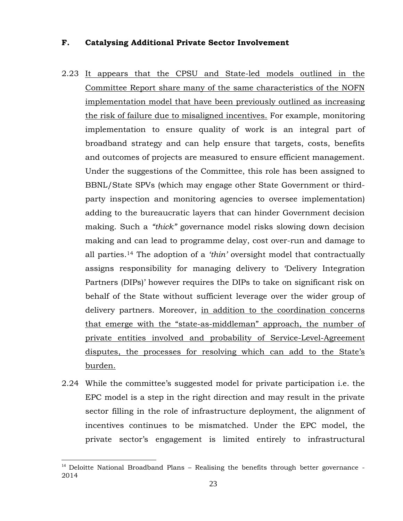#### **F. Catalysing Additional Private Sector Involvement**

- 2.23 It appears that the CPSU and State-led models outlined in the Committee Report share many of the same characteristics of the NOFN implementation model that have been previously outlined as increasing the risk of failure due to misaligned incentives. For example, monitoring implementation to ensure quality of work is an integral part of broadband strategy and can help ensure that targets, costs, benefits and outcomes of projects are measured to ensure efficient management. Under the suggestions of the Committee, this role has been assigned to BBNL/State SPVs (which may engage other State Government or thirdparty inspection and monitoring agencies to oversee implementation) adding to the bureaucratic layers that can hinder Government decision making. Such a *"thick"* governance model risks slowing down decision making and can lead to programme delay, cost over-run and damage to all parties.<sup>14</sup> The adoption of a *'thin'* oversight model that contractually assigns responsibility for managing delivery to 'Delivery Integration Partners (DIPs)' however requires the DIPs to take on significant risk on behalf of the State without sufficient leverage over the wider group of delivery partners. Moreover, in addition to the coordination concerns that emerge with the "state-as-middleman" approach, the number of private entities involved and probability of Service-Level-Agreement disputes, the processes for resolving which can add to the State's burden.
- 2.24 While the committee's suggested model for private participation i.e. the EPC model is a step in the right direction and may result in the private sector filling in the role of infrastructure deployment, the alignment of incentives continues to be mismatched. Under the EPC model, the private sector's engagement is limited entirely to infrastructural

 $14$  Deloitte National Broadband Plans – Realising the benefits through better governance -2014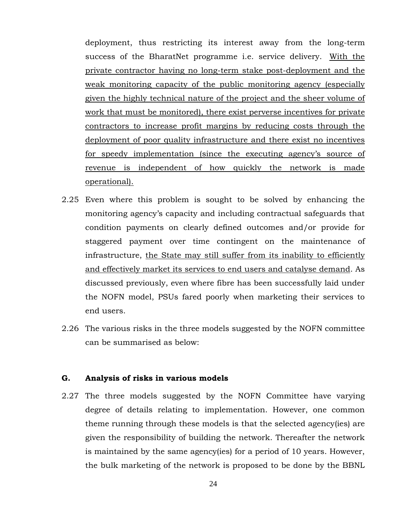deployment, thus restricting its interest away from the long-term success of the BharatNet programme i.e. service delivery. With the private contractor having no long-term stake post-deployment and the weak monitoring capacity of the public monitoring agency (especially given the highly technical nature of the project and the sheer volume of work that must be monitored), there exist perverse incentives for private contractors to increase profit margins by reducing costs through the deployment of poor quality infrastructure and there exist no incentives for speedy implementation (since the executing agency's source of revenue is independent of how quickly the network is made operational).

- 2.25 Even where this problem is sought to be solved by enhancing the monitoring agency's capacity and including contractual safeguards that condition payments on clearly defined outcomes and/or provide for staggered payment over time contingent on the maintenance of infrastructure, the State may still suffer from its inability to efficiently and effectively market its services to end users and catalyse demand. As discussed previously, even where fibre has been successfully laid under the NOFN model, PSUs fared poorly when marketing their services to end users.
- 2.26 The various risks in the three models suggested by the NOFN committee can be summarised as below:

#### **G. Analysis of risks in various models**

2.27 The three models suggested by the NOFN Committee have varying degree of details relating to implementation. However, one common theme running through these models is that the selected agency(ies) are given the responsibility of building the network. Thereafter the network is maintained by the same agency(ies) for a period of 10 years. However, the bulk marketing of the network is proposed to be done by the BBNL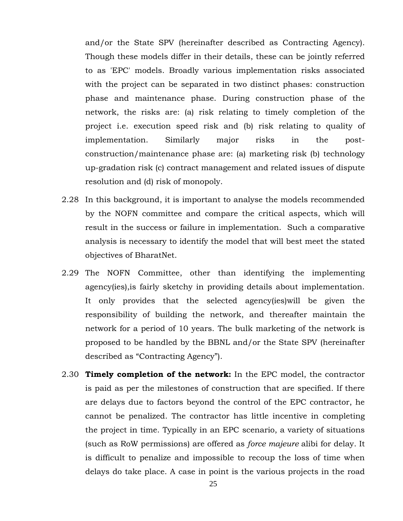and/or the State SPV (hereinafter described as Contracting Agency). Though these models differ in their details, these can be jointly referred to as 'EPC' models. Broadly various implementation risks associated with the project can be separated in two distinct phases: construction phase and maintenance phase. During construction phase of the network, the risks are: (a) risk relating to timely completion of the project i.e. execution speed risk and (b) risk relating to quality of implementation. Similarly major risks in the postconstruction/maintenance phase are: (a) marketing risk (b) technology up-gradation risk (c) contract management and related issues of dispute resolution and (d) risk of monopoly.

- 2.28 In this background, it is important to analyse the models recommended by the NOFN committee and compare the critical aspects, which will result in the success or failure in implementation. Such a comparative analysis is necessary to identify the model that will best meet the stated objectives of BharatNet.
- 2.29 The NOFN Committee, other than identifying the implementing agency(ies),is fairly sketchy in providing details about implementation. It only provides that the selected agency(ies)will be given the responsibility of building the network, and thereafter maintain the network for a period of 10 years. The bulk marketing of the network is proposed to be handled by the BBNL and/or the State SPV (hereinafter described as "Contracting Agency").
- 2.30 **Timely completion of the network:** In the EPC model, the contractor is paid as per the milestones of construction that are specified. If there are delays due to factors beyond the control of the EPC contractor, he cannot be penalized. The contractor has little incentive in completing the project in time. Typically in an EPC scenario, a variety of situations (such as RoW permissions) are offered as *force majeure* alibi for delay. It is difficult to penalize and impossible to recoup the loss of time when delays do take place. A case in point is the various projects in the road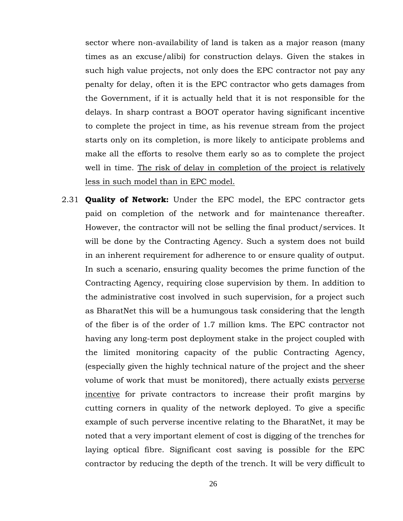sector where non-availability of land is taken as a major reason (many times as an excuse/alibi) for construction delays. Given the stakes in such high value projects, not only does the EPC contractor not pay any penalty for delay, often it is the EPC contractor who gets damages from the Government, if it is actually held that it is not responsible for the delays. In sharp contrast a BOOT operator having significant incentive to complete the project in time, as his revenue stream from the project starts only on its completion, is more likely to anticipate problems and make all the efforts to resolve them early so as to complete the project well in time. The risk of delay in completion of the project is relatively less in such model than in EPC model.

2.31 **Quality of Network:** Under the EPC model, the EPC contractor gets paid on completion of the network and for maintenance thereafter. However, the contractor will not be selling the final product/services. It will be done by the Contracting Agency. Such a system does not build in an inherent requirement for adherence to or ensure quality of output. In such a scenario, ensuring quality becomes the prime function of the Contracting Agency, requiring close supervision by them. In addition to the administrative cost involved in such supervision, for a project such as BharatNet this will be a humungous task considering that the length of the fiber is of the order of 1.7 million kms. The EPC contractor not having any long-term post deployment stake in the project coupled with the limited monitoring capacity of the public Contracting Agency, (especially given the highly technical nature of the project and the sheer volume of work that must be monitored), there actually exists perverse incentive for private contractors to increase their profit margins by cutting corners in quality of the network deployed. To give a specific example of such perverse incentive relating to the BharatNet, it may be noted that a very important element of cost is digging of the trenches for laying optical fibre. Significant cost saving is possible for the EPC contractor by reducing the depth of the trench. It will be very difficult to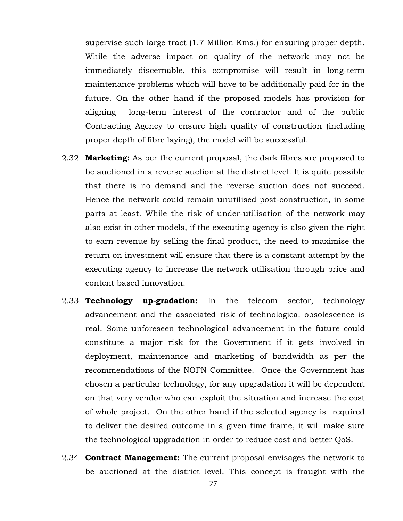supervise such large tract (1.7 Million Kms.) for ensuring proper depth. While the adverse impact on quality of the network may not be immediately discernable, this compromise will result in long-term maintenance problems which will have to be additionally paid for in the future. On the other hand if the proposed models has provision for aligning long-term interest of the contractor and of the public Contracting Agency to ensure high quality of construction (including proper depth of fibre laying), the model will be successful.

- 2.32 **Marketing:** As per the current proposal, the dark fibres are proposed to be auctioned in a reverse auction at the district level. It is quite possible that there is no demand and the reverse auction does not succeed. Hence the network could remain unutilised post-construction, in some parts at least. While the risk of under-utilisation of the network may also exist in other models, if the executing agency is also given the right to earn revenue by selling the final product, the need to maximise the return on investment will ensure that there is a constant attempt by the executing agency to increase the network utilisation through price and content based innovation.
- 2.33 **Technology up-gradation:** In the telecom sector, technology advancement and the associated risk of technological obsolescence is real. Some unforeseen technological advancement in the future could constitute a major risk for the Government if it gets involved in deployment, maintenance and marketing of bandwidth as per the recommendations of the NOFN Committee. Once the Government has chosen a particular technology, for any upgradation it will be dependent on that very vendor who can exploit the situation and increase the cost of whole project. On the other hand if the selected agency is required to deliver the desired outcome in a given time frame, it will make sure the technological upgradation in order to reduce cost and better QoS.
- 2.34 **Contract Management:** The current proposal envisages the network to be auctioned at the district level. This concept is fraught with the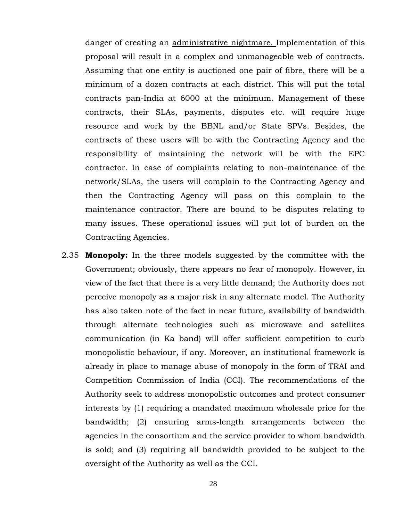danger of creating an administrative nightmare. Implementation of this proposal will result in a complex and unmanageable web of contracts. Assuming that one entity is auctioned one pair of fibre, there will be a minimum of a dozen contracts at each district. This will put the total contracts pan-India at 6000 at the minimum. Management of these contracts, their SLAs, payments, disputes etc. will require huge resource and work by the BBNL and/or State SPVs. Besides, the contracts of these users will be with the Contracting Agency and the responsibility of maintaining the network will be with the EPC contractor. In case of complaints relating to non-maintenance of the network/SLAs, the users will complain to the Contracting Agency and then the Contracting Agency will pass on this complain to the maintenance contractor. There are bound to be disputes relating to many issues. These operational issues will put lot of burden on the Contracting Agencies.

2.35 **Monopoly:** In the three models suggested by the committee with the Government; obviously, there appears no fear of monopoly. However, in view of the fact that there is a very little demand; the Authority does not perceive monopoly as a major risk in any alternate model. The Authority has also taken note of the fact in near future, availability of bandwidth through alternate technologies such as microwave and satellites communication (in Ka band) will offer sufficient competition to curb monopolistic behaviour, if any. Moreover, an institutional framework is already in place to manage abuse of monopoly in the form of TRAI and Competition Commission of India (CCI). The recommendations of the Authority seek to address monopolistic outcomes and protect consumer interests by (1) requiring a mandated maximum wholesale price for the bandwidth; (2) ensuring arms-length arrangements between the agencies in the consortium and the service provider to whom bandwidth is sold; and (3) requiring all bandwidth provided to be subject to the oversight of the Authority as well as the CCI.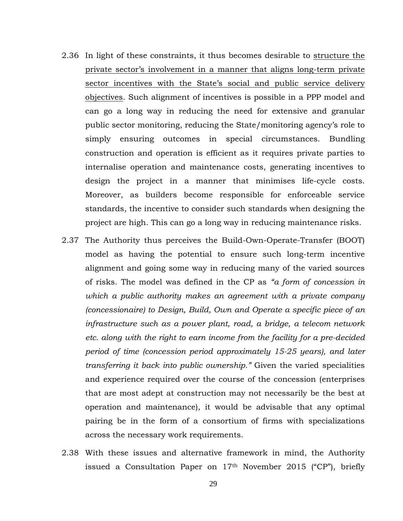- 2.36 In light of these constraints, it thus becomes desirable to structure the private sector's involvement in a manner that aligns long-term private sector incentives with the State's social and public service delivery objectives. Such alignment of incentives is possible in a PPP model and can go a long way in reducing the need for extensive and granular public sector monitoring, reducing the State/monitoring agency's role to simply ensuring outcomes in special circumstances. Bundling construction and operation is efficient as it requires private parties to internalise operation and maintenance costs, generating incentives to design the project in a manner that minimises life-cycle costs. Moreover, as builders become responsible for enforceable service standards, the incentive to consider such standards when designing the project are high. This can go a long way in reducing maintenance risks.
- 2.37 The Authority thus perceives the Build-Own-Operate-Transfer (BOOT) model as having the potential to ensure such long-term incentive alignment and going some way in reducing many of the varied sources of risks. The model was defined in the CP as *"a form of concession in which a public authority makes an agreement with a private company (concessionaire) to Design, Build, Own and Operate a specific piece of an infrastructure such as a power plant, road, a bridge, a telecom network etc. along with the right to earn income from the facility for a pre-decided period of time (concession period approximately 15-25 years), and later transferring it back into public ownership."* Given the varied specialities and experience required over the course of the concession (enterprises that are most adept at construction may not necessarily be the best at operation and maintenance), it would be advisable that any optimal pairing be in the form of a consortium of firms with specializations across the necessary work requirements.
- 2.38 With these issues and alternative framework in mind, the Authority issued a Consultation Paper on 17th November 2015 ("CP"), briefly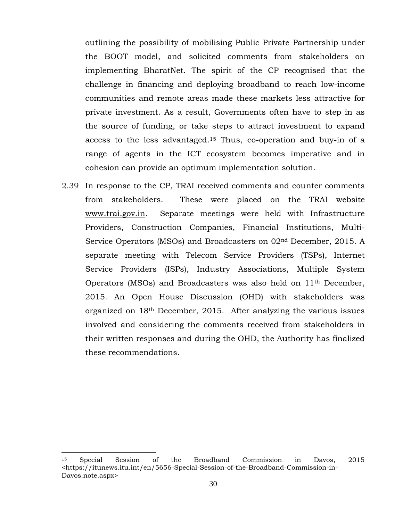outlining the possibility of mobilising Public Private Partnership under the BOOT model, and solicited comments from stakeholders on implementing BharatNet. The spirit of the CP recognised that the challenge in financing and deploying broadband to reach low-income communities and remote areas made these markets less attractive for private investment. As a result, Governments often have to step in as the source of funding, or take steps to attract investment to expand access to the less advantaged. <sup>15</sup> Thus, co-operation and buy-in of a range of agents in the ICT ecosystem becomes imperative and in cohesion can provide an optimum implementation solution.

2.39 In response to the CP, TRAI received comments and counter comments from stakeholders. These were placed on the TRAI website [www.trai.gov.in.](http://www.trai.gov.in/) Separate meetings were held with Infrastructure Providers, Construction Companies, Financial Institutions, Multi-Service Operators (MSOs) and Broadcasters on 02nd December, 2015. A separate meeting with Telecom Service Providers (TSPs), Internet Service Providers (ISPs), Industry Associations, Multiple System Operators (MSOs) and Broadcasters was also held on 11th December, 2015. An Open House Discussion (OHD) with stakeholders was organized on 18th December, 2015. After analyzing the various issues involved and considering the comments received from stakeholders in their written responses and during the OHD, the Authority has finalized these recommendations.

<sup>15</sup> Special Session of the Broadband Commission in Davos, 2015 <https://itunews.itu.int/en/5656-Special-Session-of-the-Broadband-Commission-in-Davos.note.aspx>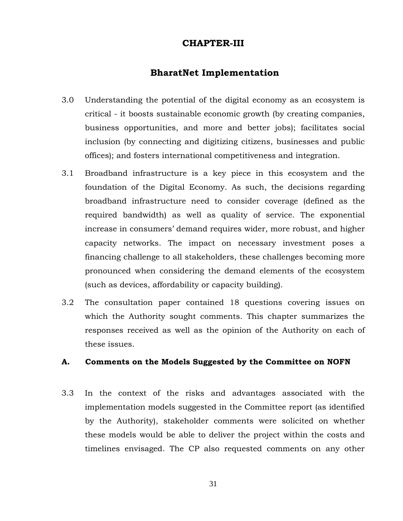### **CHAPTER-III**

### **BharatNet Implementation**

- 3.0 Understanding the potential of the digital economy as an ecosystem is critical - it boosts sustainable economic growth (by creating companies, business opportunities, and more and better jobs); facilitates social inclusion (by connecting and digitizing citizens, businesses and public offices); and fosters international competitiveness and integration.
- 3.1 Broadband infrastructure is a key piece in this ecosystem and the foundation of the Digital Economy. As such, the decisions regarding broadband infrastructure need to consider coverage (defined as the required bandwidth) as well as quality of service. The exponential increase in consumers' demand requires wider, more robust, and higher capacity networks. The impact on necessary investment poses a financing challenge to all stakeholders, these challenges becoming more pronounced when considering the demand elements of the ecosystem (such as devices, affordability or capacity building).
- 3.2 The consultation paper contained 18 questions covering issues on which the Authority sought comments. This chapter summarizes the responses received as well as the opinion of the Authority on each of these issues.

#### **A. Comments on the Models Suggested by the Committee on NOFN**

3.3 In the context of the risks and advantages associated with the implementation models suggested in the Committee report (as identified by the Authority), stakeholder comments were solicited on whether these models would be able to deliver the project within the costs and timelines envisaged. The CP also requested comments on any other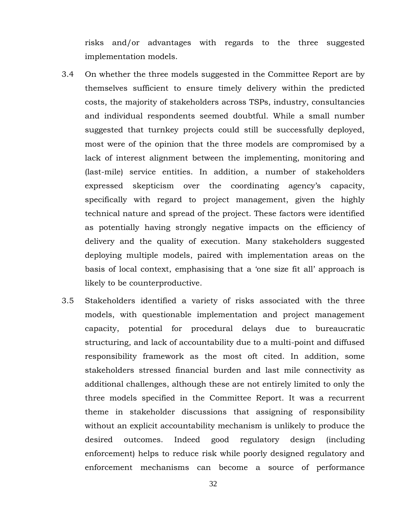risks and/or advantages with regards to the three suggested implementation models.

- 3.4 On whether the three models suggested in the Committee Report are by themselves sufficient to ensure timely delivery within the predicted costs, the majority of stakeholders across TSPs, industry, consultancies and individual respondents seemed doubtful. While a small number suggested that turnkey projects could still be successfully deployed, most were of the opinion that the three models are compromised by a lack of interest alignment between the implementing, monitoring and (last-mile) service entities. In addition, a number of stakeholders expressed skepticism over the coordinating agency's capacity, specifically with regard to project management, given the highly technical nature and spread of the project. These factors were identified as potentially having strongly negative impacts on the efficiency of delivery and the quality of execution. Many stakeholders suggested deploying multiple models, paired with implementation areas on the basis of local context, emphasising that a 'one size fit all' approach is likely to be counterproductive.
- 3.5 Stakeholders identified a variety of risks associated with the three models, with questionable implementation and project management capacity, potential for procedural delays due to bureaucratic structuring, and lack of accountability due to a multi-point and diffused responsibility framework as the most oft cited. In addition, some stakeholders stressed financial burden and last mile connectivity as additional challenges, although these are not entirely limited to only the three models specified in the Committee Report. It was a recurrent theme in stakeholder discussions that assigning of responsibility without an explicit accountability mechanism is unlikely to produce the desired outcomes. Indeed good regulatory design (including enforcement) helps to reduce risk while poorly designed regulatory and enforcement mechanisms can become a source of performance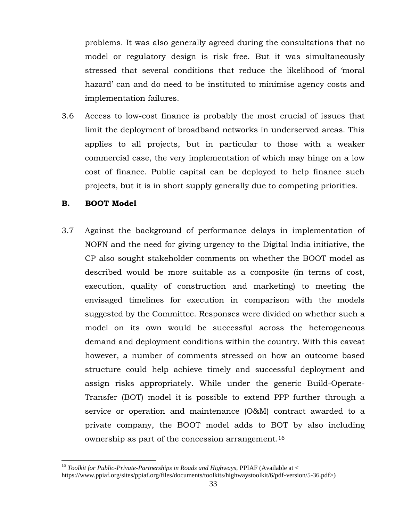problems. It was also generally agreed during the consultations that no model or regulatory design is risk free. But it was simultaneously stressed that several conditions that reduce the likelihood of 'moral hazard' can and do need to be instituted to minimise agency costs and implementation failures.

3.6 Access to low-cost finance is probably the most crucial of issues that limit the deployment of broadband networks in underserved areas. This applies to all projects, but in particular to those with a weaker commercial case, the very implementation of which may hinge on a low cost of finance. Public capital can be deployed to help finance such projects, but it is in short supply generally due to competing priorities.

### **B. BOOT Model**

 $\overline{a}$ 

3.7 Against the background of performance delays in implementation of NOFN and the need for giving urgency to the Digital India initiative, the CP also sought stakeholder comments on whether the BOOT model as described would be more suitable as a composite (in terms of cost, execution, quality of construction and marketing) to meeting the envisaged timelines for execution in comparison with the models suggested by the Committee. Responses were divided on whether such a model on its own would be successful across the heterogeneous demand and deployment conditions within the country. With this caveat however, a number of comments stressed on how an outcome based structure could help achieve timely and successful deployment and assign risks appropriately. While under the generic Build-Operate-Transfer (BOT) model it is possible to extend PPP further through a service or operation and maintenance (O&M) contract awarded to a private company, the BOOT model adds to BOT by also including ownership as part of the concession arrangement. 16

<sup>&</sup>lt;sup>16</sup> *Toolkit for Public-Private-Partnerships in Roads and Highways, PPIAF (Available at <* https://www.ppiaf.org/sites/ppiaf.org/files/documents/toolkits/highwaystoolkit/6/pdf-version/5-36.pdf>)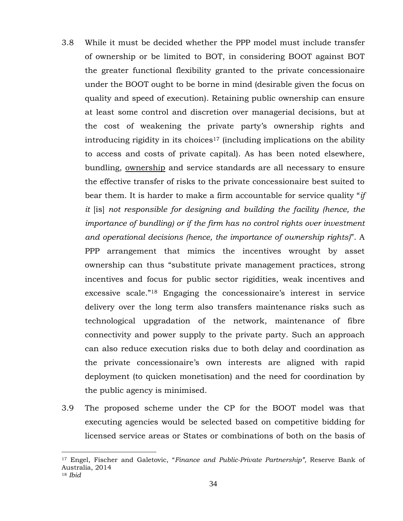- 3.8 While it must be decided whether the PPP model must include transfer of ownership or be limited to BOT, in considering BOOT against BOT the greater functional flexibility granted to the private concessionaire under the BOOT ought to be borne in mind (desirable given the focus on quality and speed of execution). Retaining public ownership can ensure at least some control and discretion over managerial decisions, but at the cost of weakening the private party's ownership rights and introducing rigidity in its choices<sup>17</sup> (including implications on the ability to access and costs of private capital). As has been noted elsewhere, bundling, ownership and service standards are all necessary to ensure the effective transfer of risks to the private concessionaire best suited to bear them. It is harder to make a firm accountable for service quality "*if it* [is] *not responsible for designing and building the facility (hence, the importance of bundling) or if the firm has no control rights over investment and operational decisions (hence, the importance of ownership rights)*". A PPP arrangement that mimics the incentives wrought by asset ownership can thus "substitute private management practices, strong incentives and focus for public sector rigidities, weak incentives and excessive scale."<sup>18</sup> Engaging the concessionaire's interest in service delivery over the long term also transfers maintenance risks such as technological upgradation of the network, maintenance of fibre connectivity and power supply to the private party. Such an approach can also reduce execution risks due to both delay and coordination as the private concessionaire's own interests are aligned with rapid deployment (to quicken monetisation) and the need for coordination by the public agency is minimised.
- 3.9 The proposed scheme under the CP for the BOOT model was that executing agencies would be selected based on competitive bidding for licensed service areas or States or combinations of both on the basis of

<sup>17</sup> Engel, Fischer and Galetovic, "*Finance and Public-Private Partnership",* Reserve Bank of Australia, 2014 <sup>18</sup> *Ibid*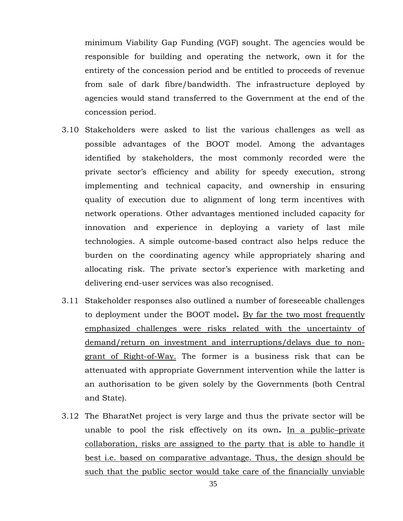minimum Viability Gap Funding (VGF) sought. The agencies would be responsible for building and operating the network, own it for the entirety of the concession period and be entitled to proceeds of revenue from sale of dark fibre/bandwidth. The infrastructure deployed by agencies would stand transferred to the Government at the end of the concession period.

- 3.10 Stakeholders were asked to list the various challenges as well as possible advantages of the BOOT model. Among the advantages identified by stakeholders, the most commonly recorded were the private sector's efficiency and ability for speedy execution, strong implementing and technical capacity, and ownership in ensuring quality of execution due to alignment of long term incentives with network operations. Other advantages mentioned included capacity for innovation and experience in deploying a variety of last mile technologies. A simple outcome-based contract also helps reduce the burden on the coordinating agency while appropriately sharing and allocating risk. The private sector's experience with marketing and delivering end-user services was also recognised.
- 3.11 Stakeholder responses also outlined a number of foreseeable challenges to deployment under the BOOT model**.** By far the two most frequently emphasized challenges were risks related with the uncertainty of demand/return on investment and interruptions/delays due to nongrant of Right-of-Way. The former is a business risk that can be attenuated with appropriate Government intervention while the latter is an authorisation to be given solely by the Governments (both Central and State).
- 3.12 The BharatNet project is very large and thus the private sector will be unable to pool the risk effectively on its own**.** In a public–private collaboration, risks are assigned to the party that is able to handle it best i.e. based on comparative advantage. Thus, the design should be such that the public sector would take care of the financially unviable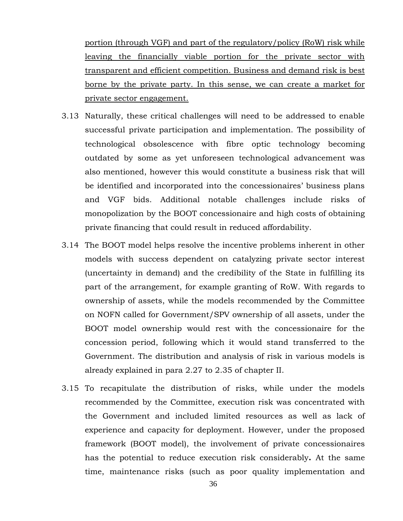portion (through VGF) and part of the regulatory/policy (RoW) risk while leaving the financially viable portion for the private sector with transparent and efficient competition. Business and demand risk is best borne by the private party. In this sense, we can create a market for private sector engagement.

- 3.13 Naturally, these critical challenges will need to be addressed to enable successful private participation and implementation. The possibility of technological obsolescence with fibre optic technology becoming outdated by some as yet unforeseen technological advancement was also mentioned, however this would constitute a business risk that will be identified and incorporated into the concessionaires' business plans and VGF bids. Additional notable challenges include risks of monopolization by the BOOT concessionaire and high costs of obtaining private financing that could result in reduced affordability.
- 3.14 The BOOT model helps resolve the incentive problems inherent in other models with success dependent on catalyzing private sector interest (uncertainty in demand) and the credibility of the State in fulfilling its part of the arrangement, for example granting of RoW. With regards to ownership of assets, while the models recommended by the Committee on NOFN called for Government/SPV ownership of all assets, under the BOOT model ownership would rest with the concessionaire for the concession period, following which it would stand transferred to the Government. The distribution and analysis of risk in various models is already explained in para 2.27 to 2.35 of chapter II.
- 3.15 To recapitulate the distribution of risks, while under the models recommended by the Committee, execution risk was concentrated with the Government and included limited resources as well as lack of experience and capacity for deployment. However, under the proposed framework (BOOT model), the involvement of private concessionaires has the potential to reduce execution risk considerably**.** At the same time, maintenance risks (such as poor quality implementation and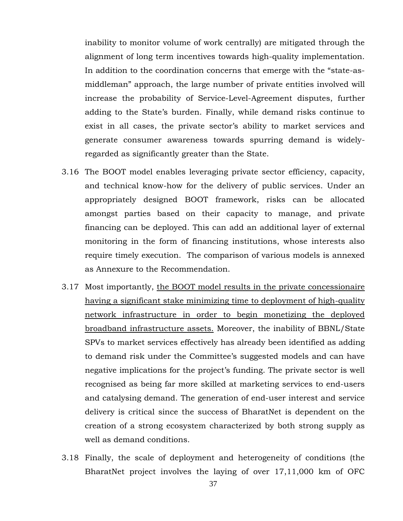inability to monitor volume of work centrally) are mitigated through the alignment of long term incentives towards high-quality implementation. In addition to the coordination concerns that emerge with the "state-asmiddleman" approach, the large number of private entities involved will increase the probability of Service-Level-Agreement disputes, further adding to the State's burden. Finally, while demand risks continue to exist in all cases, the private sector's ability to market services and generate consumer awareness towards spurring demand is widelyregarded as significantly greater than the State.

- 3.16 The BOOT model enables leveraging private sector efficiency, capacity, and technical know-how for the delivery of public services. Under an appropriately designed BOOT framework, risks can be allocated amongst parties based on their capacity to manage, and private financing can be deployed. This can add an additional layer of external monitoring in the form of financing institutions, whose interests also require timely execution. The comparison of various models is annexed as Annexure to the Recommendation.
- 3.17 Most importantly, the BOOT model results in the private concessionaire having a significant stake minimizing time to deployment of high-quality network infrastructure in order to begin monetizing the deployed broadband infrastructure assets. Moreover, the inability of BBNL/State SPVs to market services effectively has already been identified as adding to demand risk under the Committee's suggested models and can have negative implications for the project's funding. The private sector is well recognised as being far more skilled at marketing services to end-users and catalysing demand. The generation of end-user interest and service delivery is critical since the success of BharatNet is dependent on the creation of a strong ecosystem characterized by both strong supply as well as demand conditions.
- 3.18 Finally, the scale of deployment and heterogeneity of conditions (the BharatNet project involves the laying of over 17,11,000 km of OFC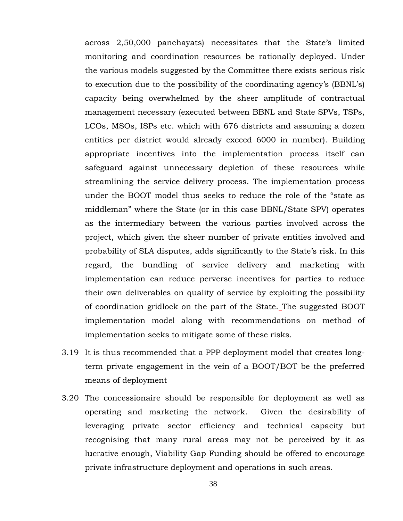across 2,50,000 panchayats) necessitates that the State's limited monitoring and coordination resources be rationally deployed. Under the various models suggested by the Committee there exists serious risk to execution due to the possibility of the coordinating agency's (BBNL's) capacity being overwhelmed by the sheer amplitude of contractual management necessary (executed between BBNL and State SPVs, TSPs, LCOs, MSOs, ISPs etc. which with 676 districts and assuming a dozen entities per district would already exceed 6000 in number). Building appropriate incentives into the implementation process itself can safeguard against unnecessary depletion of these resources while streamlining the service delivery process. The implementation process under the BOOT model thus seeks to reduce the role of the "state as middleman" where the State (or in this case BBNL/State SPV) operates as the intermediary between the various parties involved across the project, which given the sheer number of private entities involved and probability of SLA disputes, adds significantly to the State's risk. In this regard, the bundling of service delivery and marketing with implementation can reduce perverse incentives for parties to reduce their own deliverables on quality of service by exploiting the possibility of coordination gridlock on the part of the State. The suggested BOOT implementation model along with recommendations on method of implementation seeks to mitigate some of these risks.

- 3.19 It is thus recommended that a PPP deployment model that creates longterm private engagement in the vein of a BOOT/BOT be the preferred means of deployment
- 3.20 The concessionaire should be responsible for deployment as well as operating and marketing the network. Given the desirability of leveraging private sector efficiency and technical capacity but recognising that many rural areas may not be perceived by it as lucrative enough, Viability Gap Funding should be offered to encourage private infrastructure deployment and operations in such areas.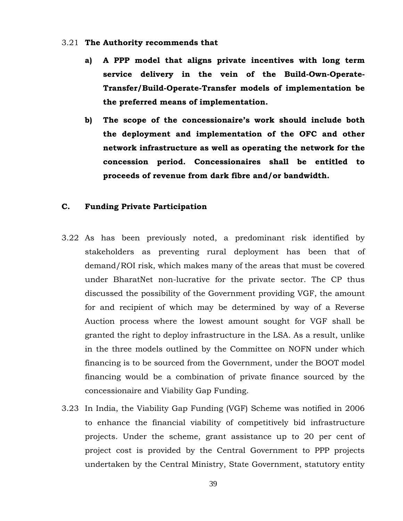- 3.21 **The Authority recommends that** 
	- **a) A PPP model that aligns private incentives with long term service delivery in the vein of the Build-Own-Operate-Transfer/Build-Operate-Transfer models of implementation be the preferred means of implementation.**
	- **b) The scope of the concessionaire's work should include both the deployment and implementation of the OFC and other network infrastructure as well as operating the network for the concession period. Concessionaires shall be entitled to proceeds of revenue from dark fibre and/or bandwidth.**

### **C. Funding Private Participation**

- 3.22 As has been previously noted, a predominant risk identified by stakeholders as preventing rural deployment has been that of demand/ROI risk, which makes many of the areas that must be covered under BharatNet non-lucrative for the private sector. The CP thus discussed the possibility of the Government providing VGF, the amount for and recipient of which may be determined by way of a Reverse Auction process where the lowest amount sought for VGF shall be granted the right to deploy infrastructure in the LSA. As a result, unlike in the three models outlined by the Committee on NOFN under which financing is to be sourced from the Government, under the BOOT model financing would be a combination of private finance sourced by the concessionaire and Viability Gap Funding.
- 3.23 In India, the Viability Gap Funding (VGF) Scheme was notified in 2006 to enhance the financial viability of competitively bid infrastructure projects. Under the scheme, grant assistance up to 20 per cent of project cost is provided by the Central Government to PPP projects undertaken by the Central Ministry, State Government, statutory entity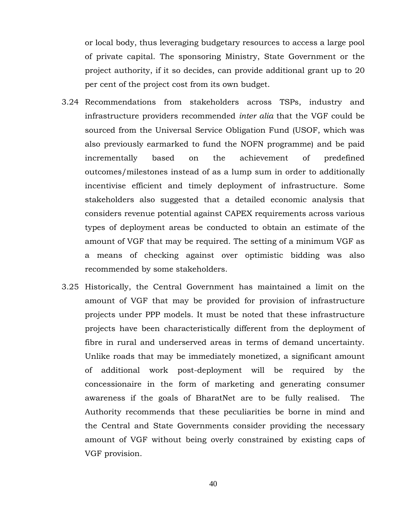or local body, thus leveraging budgetary resources to access a large pool of private capital. The sponsoring Ministry, State Government or the project authority, if it so decides, can provide additional grant up to 20 per cent of the project cost from its own budget.

- 3.24 Recommendations from stakeholders across TSPs, industry and infrastructure providers recommended *inter alia* that the VGF could be sourced from the Universal Service Obligation Fund (USOF, which was also previously earmarked to fund the NOFN programme) and be paid incrementally based on the achievement of predefined outcomes/milestones instead of as a lump sum in order to additionally incentivise efficient and timely deployment of infrastructure. Some stakeholders also suggested that a detailed economic analysis that considers revenue potential against CAPEX requirements across various types of deployment areas be conducted to obtain an estimate of the amount of VGF that may be required. The setting of a minimum VGF as a means of checking against over optimistic bidding was also recommended by some stakeholders.
- 3.25 Historically, the Central Government has maintained a limit on the amount of VGF that may be provided for provision of infrastructure projects under PPP models. It must be noted that these infrastructure projects have been characteristically different from the deployment of fibre in rural and underserved areas in terms of demand uncertainty. Unlike roads that may be immediately monetized, a significant amount of additional work post-deployment will be required by the concessionaire in the form of marketing and generating consumer awareness if the goals of BharatNet are to be fully realised. The Authority recommends that these peculiarities be borne in mind and the Central and State Governments consider providing the necessary amount of VGF without being overly constrained by existing caps of VGF provision.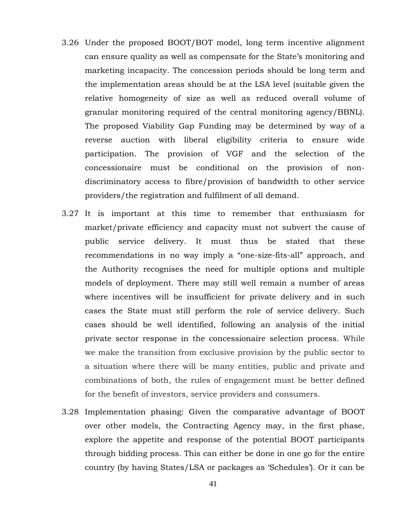- 3.26 Under the proposed BOOT/BOT model, long term incentive alignment can ensure quality as well as compensate for the State's monitoring and marketing incapacity. The concession periods should be long term and the implementation areas should be at the LSA level (suitable given the relative homogeneity of size as well as reduced overall volume of granular monitoring required of the central monitoring agency/BBNL). The proposed Viability Gap Funding may be determined by way of a reverse auction with liberal eligibility criteria to ensure wide participation. The provision of VGF and the selection of the concessionaire must be conditional on the provision of nondiscriminatory access to fibre/provision of bandwidth to other service providers/the registration and fulfilment of all demand.
- 3.27 It is important at this time to remember that enthusiasm for market/private efficiency and capacity must not subvert the cause of public service delivery. It must thus be stated that these recommendations in no way imply a "one-size-fits-all" approach, and the Authority recognises the need for multiple options and multiple models of deployment. There may still well remain a number of areas where incentives will be insufficient for private delivery and in such cases the State must still perform the role of service delivery. Such cases should be well identified, following an analysis of the initial private sector response in the concessionaire selection process. While we make the transition from exclusive provision by the public sector to a situation where there will be many entities, public and private and combinations of both, the rules of engagement must be better defined for the benefit of investors, service providers and consumers.
- 3.28 Implementation phasing: Given the comparative advantage of BOOT over other models, the Contracting Agency may, in the first phase, explore the appetite and response of the potential BOOT participants through bidding process. This can either be done in one go for the entire country (by having States/LSA or packages as 'Schedules'). Or it can be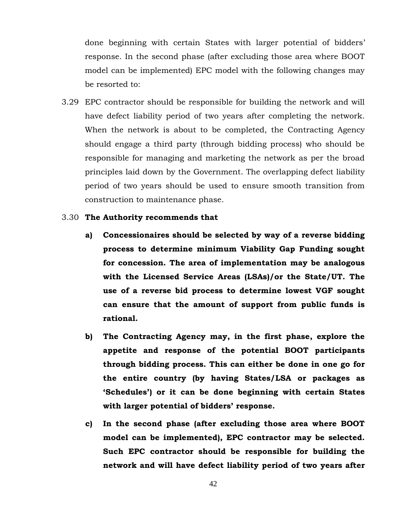done beginning with certain States with larger potential of bidders' response. In the second phase (after excluding those area where BOOT model can be implemented) EPC model with the following changes may be resorted to:

- 3.29 EPC contractor should be responsible for building the network and will have defect liability period of two years after completing the network. When the network is about to be completed, the Contracting Agency should engage a third party (through bidding process) who should be responsible for managing and marketing the network as per the broad principles laid down by the Government. The overlapping defect liability period of two years should be used to ensure smooth transition from construction to maintenance phase.
- 3.30 **The Authority recommends that** 
	- **a) Concessionaires should be selected by way of a reverse bidding process to determine minimum Viability Gap Funding sought for concession. The area of implementation may be analogous with the Licensed Service Areas (LSAs)/or the State/UT. The use of a reverse bid process to determine lowest VGF sought can ensure that the amount of support from public funds is rational.**
	- **b) The Contracting Agency may, in the first phase, explore the appetite and response of the potential BOOT participants through bidding process. This can either be done in one go for the entire country (by having States/LSA or packages as 'Schedules') or it can be done beginning with certain States with larger potential of bidders' response.**
	- **c) In the second phase (after excluding those area where BOOT model can be implemented), EPC contractor may be selected. Such EPC contractor should be responsible for building the network and will have defect liability period of two years after**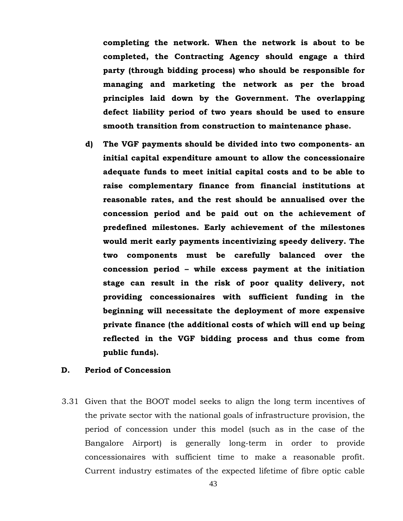**completing the network. When the network is about to be completed, the Contracting Agency should engage a third party (through bidding process) who should be responsible for managing and marketing the network as per the broad principles laid down by the Government. The overlapping defect liability period of two years should be used to ensure smooth transition from construction to maintenance phase.**

**d) The VGF payments should be divided into two components- an initial capital expenditure amount to allow the concessionaire adequate funds to meet initial capital costs and to be able to raise complementary finance from financial institutions at reasonable rates, and the rest should be annualised over the concession period and be paid out on the achievement of predefined milestones. Early achievement of the milestones would merit early payments incentivizing speedy delivery. The two components must be carefully balanced over the concession period – while excess payment at the initiation stage can result in the risk of poor quality delivery, not providing concessionaires with sufficient funding in the beginning will necessitate the deployment of more expensive private finance (the additional costs of which will end up being reflected in the VGF bidding process and thus come from public funds).** 

#### **D. Period of Concession**

3.31 Given that the BOOT model seeks to align the long term incentives of the private sector with the national goals of infrastructure provision, the period of concession under this model (such as in the case of the Bangalore Airport) is generally long-term in order to provide concessionaires with sufficient time to make a reasonable profit. Current industry estimates of the expected lifetime of fibre optic cable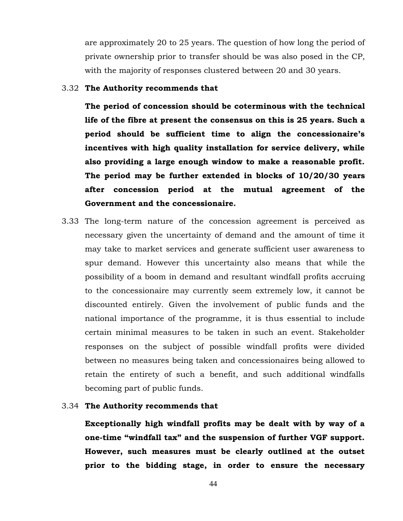are approximately 20 to 25 years. The question of how long the period of private ownership prior to transfer should be was also posed in the CP, with the majority of responses clustered between 20 and 30 years.

#### 3.32 **The Authority recommends that**

**The period of concession should be coterminous with the technical life of the fibre at present the consensus on this is 25 years. Such a period should be sufficient time to align the concessionaire's incentives with high quality installation for service delivery, while also providing a large enough window to make a reasonable profit. The period may be further extended in blocks of 10/20/30 years after concession period at the mutual agreement of the Government and the concessionaire.** 

3.33 The long-term nature of the concession agreement is perceived as necessary given the uncertainty of demand and the amount of time it may take to market services and generate sufficient user awareness to spur demand. However this uncertainty also means that while the possibility of a boom in demand and resultant windfall profits accruing to the concessionaire may currently seem extremely low, it cannot be discounted entirely. Given the involvement of public funds and the national importance of the programme, it is thus essential to include certain minimal measures to be taken in such an event. Stakeholder responses on the subject of possible windfall profits were divided between no measures being taken and concessionaires being allowed to retain the entirety of such a benefit, and such additional windfalls becoming part of public funds.

#### 3.34 **The Authority recommends that**

**Exceptionally high windfall profits may be dealt with by way of a one-time "windfall tax" and the suspension of further VGF support. However, such measures must be clearly outlined at the outset prior to the bidding stage, in order to ensure the necessary**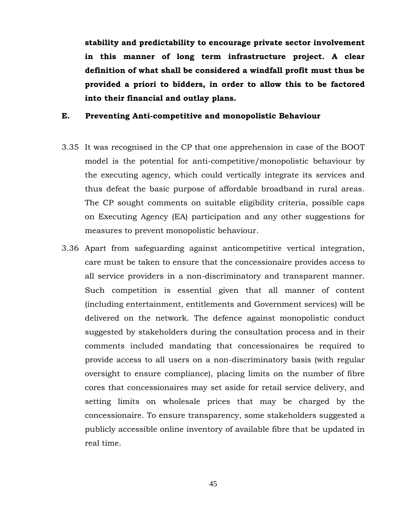**stability and predictability to encourage private sector involvement in this manner of long term infrastructure project. A clear definition of what shall be considered a windfall profit must thus be provided a priori to bidders, in order to allow this to be factored into their financial and outlay plans.** 

#### **E. Preventing Anti-competitive and monopolistic Behaviour**

- 3.35 It was recognised in the CP that one apprehension in case of the BOOT model is the potential for anti-competitive/monopolistic behaviour by the executing agency, which could vertically integrate its services and thus defeat the basic purpose of affordable broadband in rural areas. The CP sought comments on suitable eligibility criteria, possible caps on Executing Agency (EA) participation and any other suggestions for measures to prevent monopolistic behaviour.
- 3.36 Apart from safeguarding against anticompetitive vertical integration, care must be taken to ensure that the concessionaire provides access to all service providers in a non-discriminatory and transparent manner. Such competition is essential given that all manner of content (including entertainment, entitlements and Government services) will be delivered on the network. The defence against monopolistic conduct suggested by stakeholders during the consultation process and in their comments included mandating that concessionaires be required to provide access to all users on a non-discriminatory basis (with regular oversight to ensure compliance), placing limits on the number of fibre cores that concessionaires may set aside for retail service delivery, and setting limits on wholesale prices that may be charged by the concessionaire. To ensure transparency, some stakeholders suggested a publicly accessible online inventory of available fibre that be updated in real time.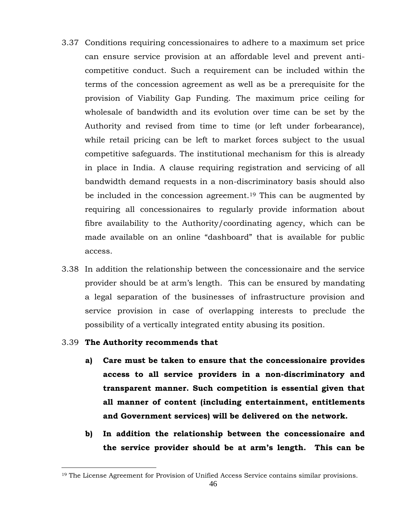- 3.37 Conditions requiring concessionaires to adhere to a maximum set price can ensure service provision at an affordable level and prevent anticompetitive conduct. Such a requirement can be included within the terms of the concession agreement as well as be a prerequisite for the provision of Viability Gap Funding. The maximum price ceiling for wholesale of bandwidth and its evolution over time can be set by the Authority and revised from time to time (or left under forbearance), while retail pricing can be left to market forces subject to the usual competitive safeguards. The institutional mechanism for this is already in place in India. A clause requiring registration and servicing of all bandwidth demand requests in a non-discriminatory basis should also be included in the concession agreement.<sup>19</sup> This can be augmented by requiring all concessionaires to regularly provide information about fibre availability to the Authority/coordinating agency, which can be made available on an online "dashboard" that is available for public access.
- 3.38 In addition the relationship between the concessionaire and the service provider should be at arm's length. This can be ensured by mandating a legal separation of the businesses of infrastructure provision and service provision in case of overlapping interests to preclude the possibility of a vertically integrated entity abusing its position.

#### 3.39 **The Authority recommends that**

- **a) Care must be taken to ensure that the concessionaire provides access to all service providers in a non-discriminatory and transparent manner. Such competition is essential given that all manner of content (including entertainment, entitlements and Government services) will be delivered on the network.**
- **b) In addition the relationship between the concessionaire and the service provider should be at arm's length. This can be**

<sup>19</sup> The License Agreement for Provision of Unified Access Service contains similar provisions.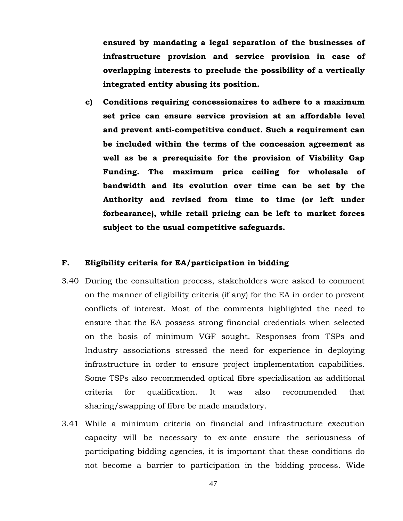**ensured by mandating a legal separation of the businesses of infrastructure provision and service provision in case of overlapping interests to preclude the possibility of a vertically integrated entity abusing its position.**

**c) Conditions requiring concessionaires to adhere to a maximum set price can ensure service provision at an affordable level and prevent anti-competitive conduct. Such a requirement can be included within the terms of the concession agreement as well as be a prerequisite for the provision of Viability Gap Funding. The maximum price ceiling for wholesale of bandwidth and its evolution over time can be set by the Authority and revised from time to time (or left under forbearance), while retail pricing can be left to market forces subject to the usual competitive safeguards.**

#### **F. Eligibility criteria for EA/participation in bidding**

- 3.40 During the consultation process, stakeholders were asked to comment on the manner of eligibility criteria (if any) for the EA in order to prevent conflicts of interest. Most of the comments highlighted the need to ensure that the EA possess strong financial credentials when selected on the basis of minimum VGF sought. Responses from TSPs and Industry associations stressed the need for experience in deploying infrastructure in order to ensure project implementation capabilities. Some TSPs also recommended optical fibre specialisation as additional criteria for qualification. It was also recommended that sharing/swapping of fibre be made mandatory.
- 3.41 While a minimum criteria on financial and infrastructure execution capacity will be necessary to ex-ante ensure the seriousness of participating bidding agencies, it is important that these conditions do not become a barrier to participation in the bidding process. Wide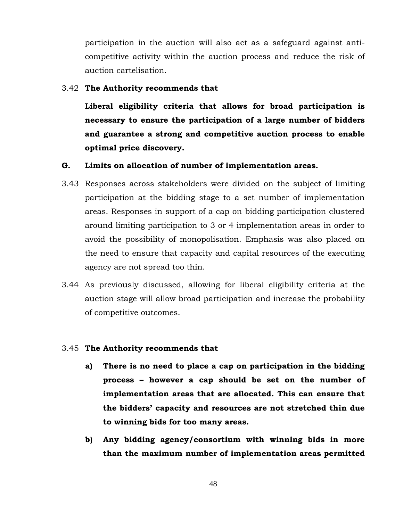participation in the auction will also act as a safeguard against anticompetitive activity within the auction process and reduce the risk of auction cartelisation.

#### 3.42 **The Authority recommends that**

**Liberal eligibility criteria that allows for broad participation is necessary to ensure the participation of a large number of bidders and guarantee a strong and competitive auction process to enable optimal price discovery.**

#### **G. Limits on allocation of number of implementation areas.**

- 3.43 Responses across stakeholders were divided on the subject of limiting participation at the bidding stage to a set number of implementation areas. Responses in support of a cap on bidding participation clustered around limiting participation to 3 or 4 implementation areas in order to avoid the possibility of monopolisation. Emphasis was also placed on the need to ensure that capacity and capital resources of the executing agency are not spread too thin.
- 3.44 As previously discussed, allowing for liberal eligibility criteria at the auction stage will allow broad participation and increase the probability of competitive outcomes.

#### 3.45 **The Authority recommends that**

- **a) There is no need to place a cap on participation in the bidding process – however a cap should be set on the number of implementation areas that are allocated. This can ensure that the bidders' capacity and resources are not stretched thin due to winning bids for too many areas.**
- **b) Any bidding agency/consortium with winning bids in more than the maximum number of implementation areas permitted**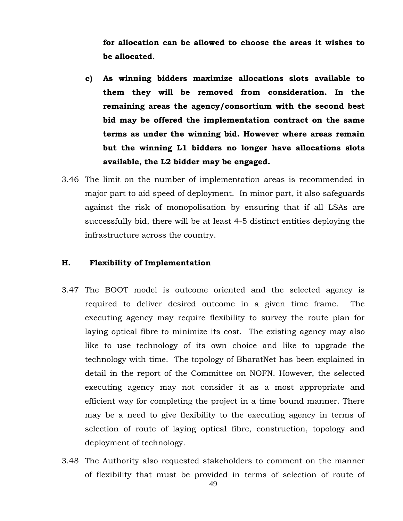**for allocation can be allowed to choose the areas it wishes to be allocated.** 

- **c) As winning bidders maximize allocations slots available to them they will be removed from consideration. In the remaining areas the agency/consortium with the second best bid may be offered the implementation contract on the same terms as under the winning bid. However where areas remain but the winning L1 bidders no longer have allocations slots available, the L2 bidder may be engaged.**
- 3.46 The limit on the number of implementation areas is recommended in major part to aid speed of deployment. In minor part, it also safeguards against the risk of monopolisation by ensuring that if all LSAs are successfully bid, there will be at least 4-5 distinct entities deploying the infrastructure across the country.

#### **H. Flexibility of Implementation**

- 3.47 The BOOT model is outcome oriented and the selected agency is required to deliver desired outcome in a given time frame. The executing agency may require flexibility to survey the route plan for laying optical fibre to minimize its cost. The existing agency may also like to use technology of its own choice and like to upgrade the technology with time. The topology of BharatNet has been explained in detail in the report of the Committee on NOFN. However, the selected executing agency may not consider it as a most appropriate and efficient way for completing the project in a time bound manner. There may be a need to give flexibility to the executing agency in terms of selection of route of laying optical fibre, construction, topology and deployment of technology.
- 3.48 The Authority also requested stakeholders to comment on the manner of flexibility that must be provided in terms of selection of route of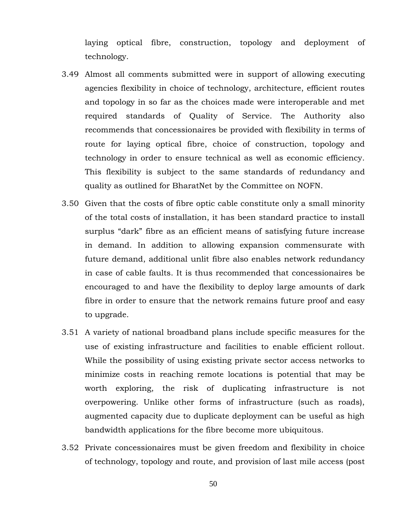laying optical fibre, construction, topology and deployment of technology.

- 3.49 Almost all comments submitted were in support of allowing executing agencies flexibility in choice of technology, architecture, efficient routes and topology in so far as the choices made were interoperable and met required standards of Quality of Service. The Authority also recommends that concessionaires be provided with flexibility in terms of route for laying optical fibre, choice of construction, topology and technology in order to ensure technical as well as economic efficiency. This flexibility is subject to the same standards of redundancy and quality as outlined for BharatNet by the Committee on NOFN.
- 3.50 Given that the costs of fibre optic cable constitute only a small minority of the total costs of installation, it has been standard practice to install surplus "dark" fibre as an efficient means of satisfying future increase in demand. In addition to allowing expansion commensurate with future demand, additional unlit fibre also enables network redundancy in case of cable faults. It is thus recommended that concessionaires be encouraged to and have the flexibility to deploy large amounts of dark fibre in order to ensure that the network remains future proof and easy to upgrade.
- 3.51 A variety of national broadband plans include specific measures for the use of existing infrastructure and facilities to enable efficient rollout. While the possibility of using existing private sector access networks to minimize costs in reaching remote locations is potential that may be worth exploring, the risk of duplicating infrastructure is not overpowering. Unlike other forms of infrastructure (such as roads), augmented capacity due to duplicate deployment can be useful as high bandwidth applications for the fibre become more ubiquitous.
- 3.52 Private concessionaires must be given freedom and flexibility in choice of technology, topology and route, and provision of last mile access (post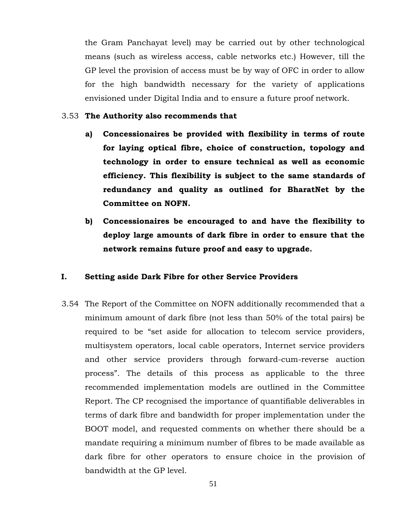the Gram Panchayat level) may be carried out by other technological means (such as wireless access, cable networks etc.) However, till the GP level the provision of access must be by way of OFC in order to allow for the high bandwidth necessary for the variety of applications envisioned under Digital India and to ensure a future proof network.

#### 3.53 **The Authority also recommends that**

- **a) Concessionaires be provided with flexibility in terms of route for laying optical fibre, choice of construction, topology and technology in order to ensure technical as well as economic efficiency. This flexibility is subject to the same standards of redundancy and quality as outlined for BharatNet by the Committee on NOFN.**
- **b) Concessionaires be encouraged to and have the flexibility to deploy large amounts of dark fibre in order to ensure that the network remains future proof and easy to upgrade.**

#### **I. Setting aside Dark Fibre for other Service Providers**

3.54 The Report of the Committee on NOFN additionally recommended that a minimum amount of dark fibre (not less than 50% of the total pairs) be required to be "set aside for allocation to telecom service providers, multisystem operators, local cable operators, Internet service providers and other service providers through forward-cum-reverse auction process". The details of this process as applicable to the three recommended implementation models are outlined in the Committee Report. The CP recognised the importance of quantifiable deliverables in terms of dark fibre and bandwidth for proper implementation under the BOOT model, and requested comments on whether there should be a mandate requiring a minimum number of fibres to be made available as dark fibre for other operators to ensure choice in the provision of bandwidth at the GP level.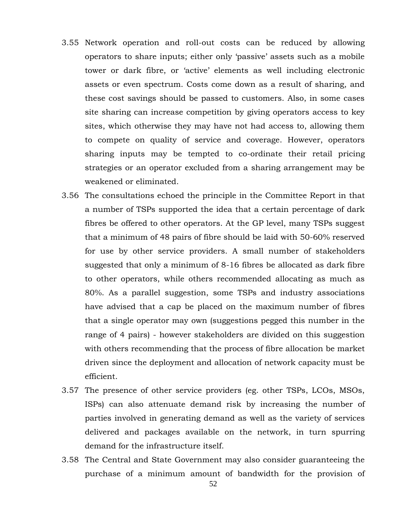- 3.55 Network operation and roll-out costs can be reduced by allowing operators to share inputs; either only 'passive' assets such as a mobile tower or dark fibre, or 'active' elements as well including electronic assets or even spectrum. Costs come down as a result of sharing, and these cost savings should be passed to customers. Also, in some cases site sharing can increase competition by giving operators access to key sites, which otherwise they may have not had access to, allowing them to compete on quality of service and coverage. However, operators sharing inputs may be tempted to co-ordinate their retail pricing strategies or an operator excluded from a sharing arrangement may be weakened or eliminated.
- 3.56 The consultations echoed the principle in the Committee Report in that a number of TSPs supported the idea that a certain percentage of dark fibres be offered to other operators. At the GP level, many TSPs suggest that a minimum of 48 pairs of fibre should be laid with 50-60% reserved for use by other service providers. A small number of stakeholders suggested that only a minimum of 8-16 fibres be allocated as dark fibre to other operators, while others recommended allocating as much as 80%. As a parallel suggestion, some TSPs and industry associations have advised that a cap be placed on the maximum number of fibres that a single operator may own (suggestions pegged this number in the range of 4 pairs) - however stakeholders are divided on this suggestion with others recommending that the process of fibre allocation be market driven since the deployment and allocation of network capacity must be efficient.
- 3.57 The presence of other service providers (eg. other TSPs, LCOs, MSOs, ISPs) can also attenuate demand risk by increasing the number of parties involved in generating demand as well as the variety of services delivered and packages available on the network, in turn spurring demand for the infrastructure itself.
- 3.58 The Central and State Government may also consider guaranteeing the purchase of a minimum amount of bandwidth for the provision of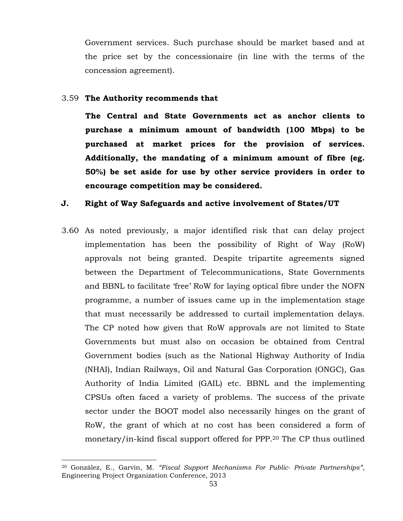Government services. Such purchase should be market based and at the price set by the concessionaire (in line with the terms of the concession agreement).

#### 3.59 **The Authority recommends that**

**The Central and State Governments act as anchor clients to purchase a minimum amount of bandwidth (100 Mbps) to be purchased at market prices for the provision of services. Additionally, the mandating of a minimum amount of fibre (eg. 50%) be set aside for use by other service providers in order to encourage competition may be considered.**

#### **J. Right of Way Safeguards and active involvement of States/UT**

3.60 As noted previously, a major identified risk that can delay project implementation has been the possibility of Right of Way (RoW) approvals not being granted. Despite tripartite agreements signed between the Department of Telecommunications, State Governments and BBNL to facilitate 'free' RoW for laying optical fibre under the NOFN programme, a number of issues came up in the implementation stage that must necessarily be addressed to curtail implementation delays. The CP noted how given that RoW approvals are not limited to State Governments but must also on occasion be obtained from Central Government bodies (such as the National Highway Authority of India (NHAI), Indian Railways, Oil and Natural Gas Corporation (ONGC), Gas Authority of India Limited (GAIL) etc. BBNL and the implementing CPSUs often faced a variety of problems. The success of the private sector under the BOOT model also necessarily hinges on the grant of RoW, the grant of which at no cost has been considered a form of monetary/in-kind fiscal support offered for PPP. <sup>20</sup> The CP thus outlined

 $\overline{a}$ <sup>20</sup> González, E., Garvin, M. *"Fiscal Support Mechanisms For Public- Private Partnerships"*, Engineering Project Organization Conference, 2013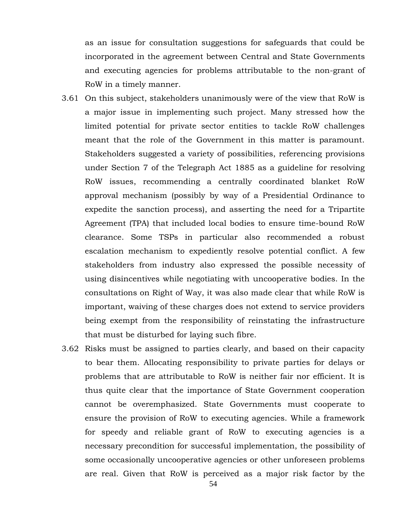as an issue for consultation suggestions for safeguards that could be incorporated in the agreement between Central and State Governments and executing agencies for problems attributable to the non-grant of RoW in a timely manner.

- 3.61 On this subject, stakeholders unanimously were of the view that RoW is a major issue in implementing such project. Many stressed how the limited potential for private sector entities to tackle RoW challenges meant that the role of the Government in this matter is paramount. Stakeholders suggested a variety of possibilities, referencing provisions under Section 7 of the Telegraph Act 1885 as a guideline for resolving RoW issues, recommending a centrally coordinated blanket RoW approval mechanism (possibly by way of a Presidential Ordinance to expedite the sanction process), and asserting the need for a Tripartite Agreement (TPA) that included local bodies to ensure time-bound RoW clearance. Some TSPs in particular also recommended a robust escalation mechanism to expediently resolve potential conflict. A few stakeholders from industry also expressed the possible necessity of using disincentives while negotiating with uncooperative bodies. In the consultations on Right of Way, it was also made clear that while RoW is important, waiving of these charges does not extend to service providers being exempt from the responsibility of reinstating the infrastructure that must be disturbed for laying such fibre.
- 3.62 Risks must be assigned to parties clearly, and based on their capacity to bear them. Allocating responsibility to private parties for delays or problems that are attributable to RoW is neither fair nor efficient. It is thus quite clear that the importance of State Government cooperation cannot be overemphasized. State Governments must cooperate to ensure the provision of RoW to executing agencies. While a framework for speedy and reliable grant of RoW to executing agencies is a necessary precondition for successful implementation, the possibility of some occasionally uncooperative agencies or other unforeseen problems are real. Given that RoW is perceived as a major risk factor by the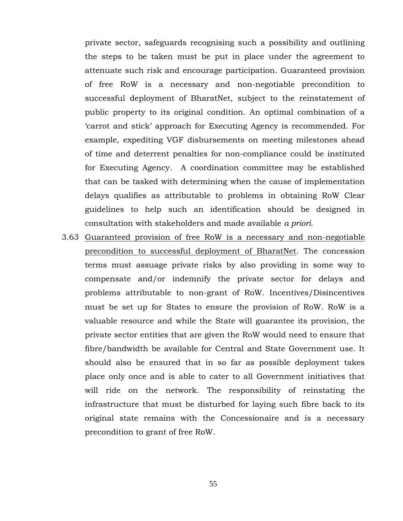private sector, safeguards recognising such a possibility and outlining the steps to be taken must be put in place under the agreement to attenuate such risk and encourage participation. Guaranteed provision of free RoW is a necessary and non-negotiable precondition to successful deployment of BharatNet, subject to the reinstatement of public property to its original condition. An optimal combination of a 'carrot and stick' approach for Executing Agency is recommended. For example, expediting VGF disbursements on meeting milestones ahead of time and deterrent penalties for non-compliance could be instituted for Executing Agency. A coordination committee may be established that can be tasked with determining when the cause of implementation delays qualifies as attributable to problems in obtaining RoW Clear guidelines to help such an identification should be designed in consultation with stakeholders and made available *a priori.* 

3.63 Guaranteed provision of free RoW is a necessary and non-negotiable precondition to successful deployment of BharatNet. The concession terms must assuage private risks by also providing in some way to compensate and/or indemnify the private sector for delays and problems attributable to non-grant of RoW. Incentives/Disincentives must be set up for States to ensure the provision of RoW. RoW is a valuable resource and while the State will guarantee its provision, the private sector entities that are given the RoW would need to ensure that fibre/bandwidth be available for Central and State Government use. It should also be ensured that in so far as possible deployment takes place only once and is able to cater to all Government initiatives that will ride on the network. The responsibility of reinstating the infrastructure that must be disturbed for laying such fibre back to its original state remains with the Concessionaire and is a necessary precondition to grant of free RoW.

55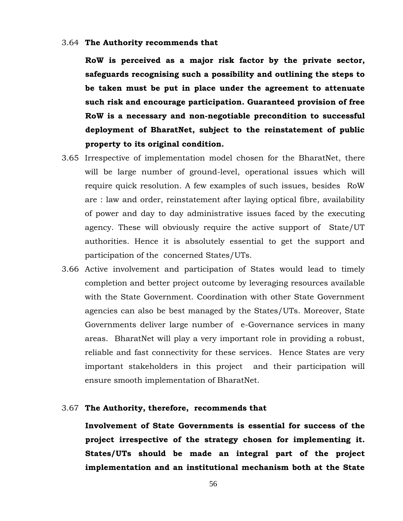#### 3.64 **The Authority recommends that**

**RoW is perceived as a major risk factor by the private sector, safeguards recognising such a possibility and outlining the steps to be taken must be put in place under the agreement to attenuate such risk and encourage participation. Guaranteed provision of free RoW is a necessary and non-negotiable precondition to successful deployment of BharatNet, subject to the reinstatement of public property to its original condition.**

- 3.65 Irrespective of implementation model chosen for the BharatNet, there will be large number of ground-level, operational issues which will require quick resolution. A few examples of such issues, besides RoW are : law and order, reinstatement after laying optical fibre, availability of power and day to day administrative issues faced by the executing agency. These will obviously require the active support of State/UT authorities. Hence it is absolutely essential to get the support and participation of the concerned States/UTs.
- 3.66 Active involvement and participation of States would lead to timely completion and better project outcome by leveraging resources available with the State Government. Coordination with other State Government agencies can also be best managed by the States/UTs. Moreover, State Governments deliver large number of e-Governance services in many areas. BharatNet will play a very important role in providing a robust, reliable and fast connectivity for these services. Hence States are very important stakeholders in this project and their participation will ensure smooth implementation of BharatNet.

#### 3.67 **The Authority, therefore, recommends that**

**Involvement of State Governments is essential for success of the project irrespective of the strategy chosen for implementing it. States/UTs should be made an integral part of the project implementation and an institutional mechanism both at the State**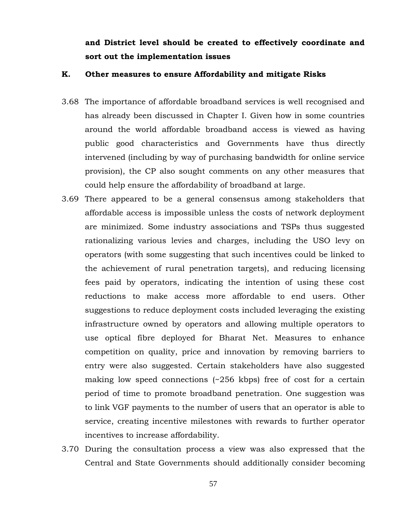# **and District level should be created to effectively coordinate and sort out the implementation issues**

#### **K. Other measures to ensure Affordability and mitigate Risks**

- 3.68 The importance of affordable broadband services is well recognised and has already been discussed in Chapter I. Given how in some countries around the world affordable broadband access is viewed as having public good characteristics and Governments have thus directly intervened (including by way of purchasing bandwidth for online service provision), the CP also sought comments on any other measures that could help ensure the affordability of broadband at large.
- 3.69 There appeared to be a general consensus among stakeholders that affordable access is impossible unless the costs of network deployment are minimized. Some industry associations and TSPs thus suggested rationalizing various levies and charges, including the USO levy on operators (with some suggesting that such incentives could be linked to the achievement of rural penetration targets), and reducing licensing fees paid by operators, indicating the intention of using these cost reductions to make access more affordable to end users. Other suggestions to reduce deployment costs included leveraging the existing infrastructure owned by operators and allowing multiple operators to use optical fibre deployed for Bharat Net. Measures to enhance competition on quality, price and innovation by removing barriers to entry were also suggested. Certain stakeholders have also suggested making low speed connections (~256 kbps) free of cost for a certain period of time to promote broadband penetration. One suggestion was to link VGF payments to the number of users that an operator is able to service, creating incentive milestones with rewards to further operator incentives to increase affordability.
- 3.70 During the consultation process a view was also expressed that the Central and State Governments should additionally consider becoming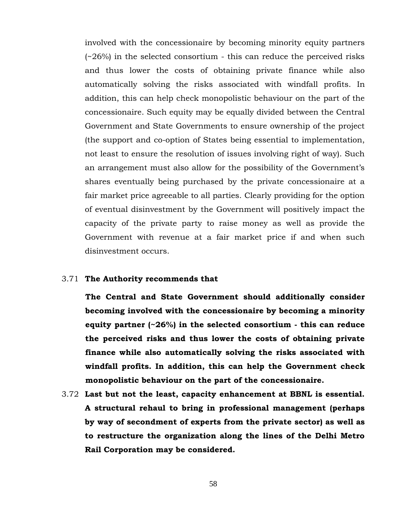involved with the concessionaire by becoming minority equity partners (~26%) in the selected consortium - this can reduce the perceived risks and thus lower the costs of obtaining private finance while also automatically solving the risks associated with windfall profits. In addition, this can help check monopolistic behaviour on the part of the concessionaire. Such equity may be equally divided between the Central Government and State Governments to ensure ownership of the project (the support and co-option of States being essential to implementation, not least to ensure the resolution of issues involving right of way). Such an arrangement must also allow for the possibility of the Government's shares eventually being purchased by the private concessionaire at a fair market price agreeable to all parties. Clearly providing for the option of eventual disinvestment by the Government will positively impact the capacity of the private party to raise money as well as provide the Government with revenue at a fair market price if and when such disinvestment occurs.

#### 3.71 **The Authority recommends that**

**The Central and State Government should additionally consider becoming involved with the concessionaire by becoming a minority equity partner (~26%) in the selected consortium - this can reduce the perceived risks and thus lower the costs of obtaining private finance while also automatically solving the risks associated with windfall profits. In addition, this can help the Government check monopolistic behaviour on the part of the concessionaire.** 

3.72 **Last but not the least, capacity enhancement at BBNL is essential. A structural rehaul to bring in professional management (perhaps by way of secondment of experts from the private sector) as well as to restructure the organization along the lines of the Delhi Metro Rail Corporation may be considered.**

58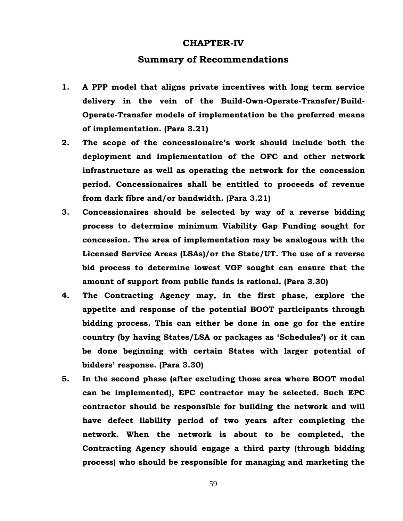#### **CHAPTER-IV**

#### **Summary of Recommendations**

- **1. A PPP model that aligns private incentives with long term service delivery in the vein of the Build-Own-Operate-Transfer/Build-Operate-Transfer models of implementation be the preferred means of implementation. (Para 3.21)**
- **2. The scope of the concessionaire's work should include both the deployment and implementation of the OFC and other network infrastructure as well as operating the network for the concession period. Concessionaires shall be entitled to proceeds of revenue from dark fibre and/or bandwidth. (Para 3.21)**
- **3. Concessionaires should be selected by way of a reverse bidding process to determine minimum Viability Gap Funding sought for concession. The area of implementation may be analogous with the Licensed Service Areas (LSAs)/or the State/UT. The use of a reverse bid process to determine lowest VGF sought can ensure that the amount of support from public funds is rational. (Para 3.30)**
- **4. The Contracting Agency may, in the first phase, explore the appetite and response of the potential BOOT participants through bidding process. This can either be done in one go for the entire country (by having States/LSA or packages as 'Schedules') or it can be done beginning with certain States with larger potential of bidders' response. (Para 3.30)**
- **5. In the second phase (after excluding those area where BOOT model can be implemented), EPC contractor may be selected. Such EPC contractor should be responsible for building the network and will have defect liability period of two years after completing the network. When the network is about to be completed, the Contracting Agency should engage a third party (through bidding process) who should be responsible for managing and marketing the**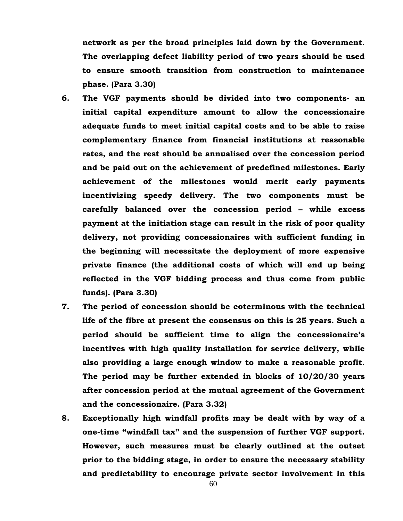**network as per the broad principles laid down by the Government. The overlapping defect liability period of two years should be used to ensure smooth transition from construction to maintenance phase. (Para 3.30)**

- **6. The VGF payments should be divided into two components- an initial capital expenditure amount to allow the concessionaire adequate funds to meet initial capital costs and to be able to raise complementary finance from financial institutions at reasonable rates, and the rest should be annualised over the concession period and be paid out on the achievement of predefined milestones. Early achievement of the milestones would merit early payments incentivizing speedy delivery. The two components must be carefully balanced over the concession period – while excess payment at the initiation stage can result in the risk of poor quality delivery, not providing concessionaires with sufficient funding in the beginning will necessitate the deployment of more expensive private finance (the additional costs of which will end up being reflected in the VGF bidding process and thus come from public funds). (Para 3.30)**
- **7. The period of concession should be coterminous with the technical life of the fibre at present the consensus on this is 25 years. Such a period should be sufficient time to align the concessionaire's incentives with high quality installation for service delivery, while also providing a large enough window to make a reasonable profit. The period may be further extended in blocks of 10/20/30 years after concession period at the mutual agreement of the Government and the concessionaire. (Para 3.32)**
- **8. Exceptionally high windfall profits may be dealt with by way of a one-time "windfall tax" and the suspension of further VGF support. However, such measures must be clearly outlined at the outset prior to the bidding stage, in order to ensure the necessary stability and predictability to encourage private sector involvement in this**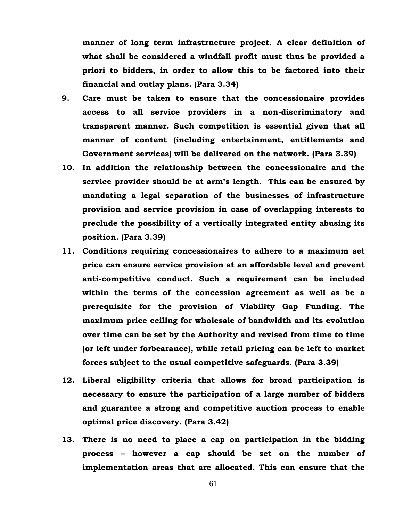**manner of long term infrastructure project. A clear definition of what shall be considered a windfall profit must thus be provided a priori to bidders, in order to allow this to be factored into their financial and outlay plans. (Para 3.34)**

- **9. Care must be taken to ensure that the concessionaire provides access to all service providers in a non-discriminatory and transparent manner. Such competition is essential given that all manner of content (including entertainment, entitlements and Government services) will be delivered on the network. (Para 3.39)**
- **10. In addition the relationship between the concessionaire and the service provider should be at arm's length. This can be ensured by mandating a legal separation of the businesses of infrastructure provision and service provision in case of overlapping interests to preclude the possibility of a vertically integrated entity abusing its position. (Para 3.39)**
- **11. Conditions requiring concessionaires to adhere to a maximum set price can ensure service provision at an affordable level and prevent anti-competitive conduct. Such a requirement can be included within the terms of the concession agreement as well as be a prerequisite for the provision of Viability Gap Funding. The maximum price ceiling for wholesale of bandwidth and its evolution over time can be set by the Authority and revised from time to time (or left under forbearance), while retail pricing can be left to market forces subject to the usual competitive safeguards. (Para 3.39)**
- **12. Liberal eligibility criteria that allows for broad participation is necessary to ensure the participation of a large number of bidders and guarantee a strong and competitive auction process to enable optimal price discovery. (Para 3.42)**
- **13. There is no need to place a cap on participation in the bidding process – however a cap should be set on the number of implementation areas that are allocated. This can ensure that the**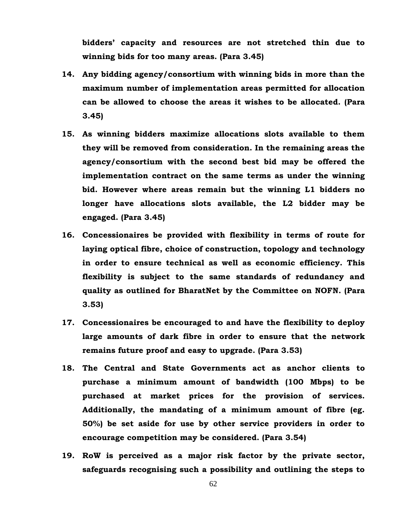**bidders' capacity and resources are not stretched thin due to winning bids for too many areas. (Para 3.45)**

- **14. Any bidding agency/consortium with winning bids in more than the maximum number of implementation areas permitted for allocation can be allowed to choose the areas it wishes to be allocated. (Para 3.45)**
- **15. As winning bidders maximize allocations slots available to them they will be removed from consideration. In the remaining areas the agency/consortium with the second best bid may be offered the implementation contract on the same terms as under the winning bid. However where areas remain but the winning L1 bidders no longer have allocations slots available, the L2 bidder may be engaged. (Para 3.45)**
- **16. Concessionaires be provided with flexibility in terms of route for laying optical fibre, choice of construction, topology and technology in order to ensure technical as well as economic efficiency. This flexibility is subject to the same standards of redundancy and quality as outlined for BharatNet by the Committee on NOFN. (Para 3.53)**
- **17. Concessionaires be encouraged to and have the flexibility to deploy large amounts of dark fibre in order to ensure that the network remains future proof and easy to upgrade. (Para 3.53)**
- **18. The Central and State Governments act as anchor clients to purchase a minimum amount of bandwidth (100 Mbps) to be purchased at market prices for the provision of services. Additionally, the mandating of a minimum amount of fibre (eg. 50%) be set aside for use by other service providers in order to encourage competition may be considered. (Para 3.54)**
- **19. RoW is perceived as a major risk factor by the private sector, safeguards recognising such a possibility and outlining the steps to**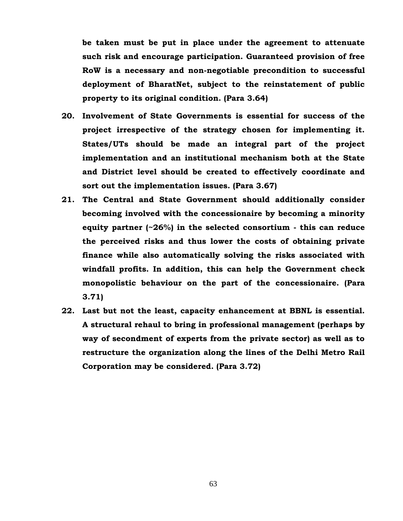**be taken must be put in place under the agreement to attenuate such risk and encourage participation. Guaranteed provision of free RoW is a necessary and non-negotiable precondition to successful deployment of BharatNet, subject to the reinstatement of public property to its original condition. (Para 3.64)**

- **20. Involvement of State Governments is essential for success of the project irrespective of the strategy chosen for implementing it. States/UTs should be made an integral part of the project implementation and an institutional mechanism both at the State and District level should be created to effectively coordinate and sort out the implementation issues. (Para 3.67)**
- **21. The Central and State Government should additionally consider becoming involved with the concessionaire by becoming a minority equity partner (~26%) in the selected consortium - this can reduce the perceived risks and thus lower the costs of obtaining private finance while also automatically solving the risks associated with windfall profits. In addition, this can help the Government check monopolistic behaviour on the part of the concessionaire. (Para 3.71)**
- **22. Last but not the least, capacity enhancement at BBNL is essential. A structural rehaul to bring in professional management (perhaps by way of secondment of experts from the private sector) as well as to restructure the organization along the lines of the Delhi Metro Rail Corporation may be considered. (Para 3.72)**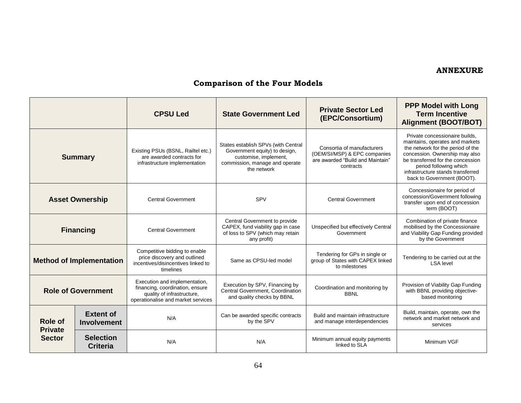### **ANNEXURE**

# **Comparison of the Four Models**

|                                 |                                        | <b>CPSU Led</b>                                                                                                                      | <b>State Government Led</b>                                                                                                                    | <b>Private Sector Led</b><br>(EPC/Consortium)                                                               | <b>PPP Model with Long</b><br><b>Term Incentive</b><br><b>Alignment (BOOT/BOT)</b>                                                                                                                                                                                         |
|---------------------------------|----------------------------------------|--------------------------------------------------------------------------------------------------------------------------------------|------------------------------------------------------------------------------------------------------------------------------------------------|-------------------------------------------------------------------------------------------------------------|----------------------------------------------------------------------------------------------------------------------------------------------------------------------------------------------------------------------------------------------------------------------------|
|                                 | <b>Summary</b>                         | Existing PSUs (BSNL, Railtel etc.)<br>are awarded contracts for<br>infrastructure implementation                                     | States establish SPVs (with Central<br>Government equity) to design,<br>customise, implement,<br>commission, manage and operate<br>the network | Consortia of manufacturers<br>(OEM/SI/MSP) & EPC companies<br>are awarded "Build and Maintain"<br>contracts | Private concessionaire builds,<br>maintains, operates and markets<br>the network for the period of the<br>concession. Ownership may also<br>be transferred for the concession<br>period following which<br>infrastructure stands transferred<br>back to Government (BOOT). |
|                                 | <b>Asset Ownership</b>                 | <b>Central Government</b>                                                                                                            | SPV                                                                                                                                            | <b>Central Government</b>                                                                                   | Concessionaire for period of<br>concession/Government following<br>transfer upon end of concession<br>term (BOOT)                                                                                                                                                          |
|                                 | <b>Financing</b>                       | <b>Central Government</b>                                                                                                            | Central Government to provide<br>CAPEX, fund viability gap in case<br>of loss to SPV (which may retain<br>any profit)                          | Unspecified but effectively Central<br>Government                                                           | Combination of private finance<br>mobilised by the Concessionaire<br>and Viability Gap Funding provided<br>by the Government                                                                                                                                               |
|                                 | <b>Method of Implementation</b>        | Competitive bidding to enable<br>price discovery and outlined<br>incentives/disincentives linked to<br>timelines                     | Same as CPSU-led model                                                                                                                         | Tendering for GPs in single or<br>group of States with CAPEX linked<br>to milestones                        | Tendering to be carried out at the<br><b>LSA</b> level                                                                                                                                                                                                                     |
|                                 | <b>Role of Government</b>              | Execution and implementation,<br>financing, coordination, ensure<br>quality of infrastructure,<br>operationalise and market services | Execution by SPV, Financing by<br>Central Government, Coordination<br>and quality checks by BBNL                                               | Coordination and monitoring by<br><b>BBNL</b>                                                               | Provision of Viability Gap Funding<br>with BBNL providing objective-<br>based monitoring                                                                                                                                                                                   |
| Role of                         | <b>Extent of</b><br><b>Involvement</b> | N/A                                                                                                                                  | Can be awarded specific contracts<br>by the SPV                                                                                                | Build and maintain infrastructure<br>and manage interdependencies                                           | Build, maintain, operate, own the<br>network and market network and<br>services                                                                                                                                                                                            |
| <b>Private</b><br><b>Sector</b> | <b>Selection</b><br><b>Criteria</b>    | N/A                                                                                                                                  | N/A                                                                                                                                            | Minimum annual equity payments<br>linked to SLA                                                             | Minimum VGF                                                                                                                                                                                                                                                                |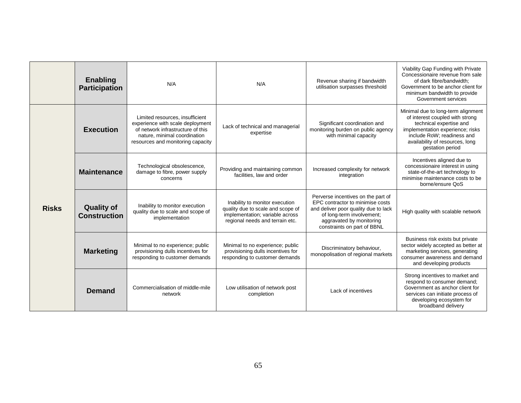|              | <b>Enabling</b><br><b>Participation</b>  | N/A                                                                                                                                                                           | N/A                                                                                                                                       | Revenue sharing if bandwidth<br>utilisation surpasses threshold                                                                                                                                        | Viability Gap Funding with Private<br>Concessionaire revenue from sale<br>of dark fibre/bandwidth;<br>Government to be anchor client for<br>minimum bandwidth to provide<br>Government services                           |
|--------------|------------------------------------------|-------------------------------------------------------------------------------------------------------------------------------------------------------------------------------|-------------------------------------------------------------------------------------------------------------------------------------------|--------------------------------------------------------------------------------------------------------------------------------------------------------------------------------------------------------|---------------------------------------------------------------------------------------------------------------------------------------------------------------------------------------------------------------------------|
| <b>Risks</b> | <b>Execution</b>                         | Limited resources, insufficient<br>experience with scale deployment<br>of network infrastructure of this<br>nature, minimal coordination<br>resources and monitoring capacity | Lack of technical and managerial<br>expertise                                                                                             | Significant coordination and<br>monitoring burden on public agency<br>with minimal capacity                                                                                                            | Minimal due to long-term alignment<br>of interest coupled with strong<br>technical expertise and<br>implementation experience; risks<br>include RoW; readiness and<br>availability of resources, long<br>gestation period |
|              | <b>Maintenance</b>                       | Technological obsolescence,<br>damage to fibre, power supply<br>concerns                                                                                                      | Providing and maintaining common<br>facilities, law and order                                                                             | Increased complexity for network<br>integration                                                                                                                                                        | Incentives aligned due to<br>concessionaire interest in using<br>state-of-the-art technology to<br>minimise maintenance costs to be<br>borne/ensure QoS                                                                   |
|              | <b>Quality of</b><br><b>Construction</b> | Inability to monitor execution<br>quality due to scale and scope of<br>implementation                                                                                         | Inability to monitor execution<br>quality due to scale and scope of<br>implementation; variable across<br>regional needs and terrain etc. | Perverse incentives on the part of<br>EPC contractor to minimise costs<br>and deliver poor quality due to lack<br>of long-term involvement;<br>aggravated by monitoring<br>constraints on part of BBNL | High quality with scalable network                                                                                                                                                                                        |
|              | <b>Marketing</b>                         | Minimal to no experience; public<br>provisioning dulls incentives for<br>responding to customer demands                                                                       | Minimal to no experience; public<br>provisioning dulls incentives for<br>responding to customer demands                                   | Discriminatory behaviour,<br>monopolisation of regional markets                                                                                                                                        | Business risk exists but private<br>sector widely accepted as better at<br>marketing services, generating<br>consumer awareness and demand<br>and developing products                                                     |
|              | <b>Demand</b>                            | Commercialisation of middle-mile<br>network                                                                                                                                   | Low utilisation of network post<br>completion                                                                                             | Lack of incentives                                                                                                                                                                                     | Strong incentives to market and<br>respond to consumer demand;<br>Government as anchor client for<br>services can initiate process of<br>developing ecosystem for<br>broadband delivery                                   |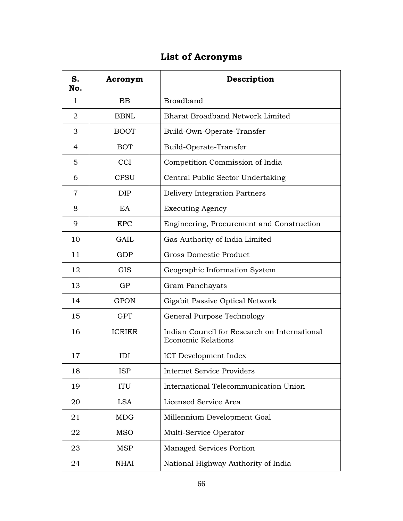# **List of Acronyms**

| S.<br>No.      | Acronym       | Description                                                               |
|----------------|---------------|---------------------------------------------------------------------------|
| 1              | <b>BB</b>     | <b>Broadband</b>                                                          |
| $\overline{2}$ | <b>BBNL</b>   | <b>Bharat Broadband Network Limited</b>                                   |
| 3              | <b>BOOT</b>   | Build-Own-Operate-Transfer                                                |
| 4              | <b>BOT</b>    | Build-Operate-Transfer                                                    |
| 5              | <b>CCI</b>    | Competition Commission of India                                           |
| 6              | <b>CPSU</b>   | Central Public Sector Undertaking                                         |
| 7              | <b>DIP</b>    | Delivery Integration Partners                                             |
| 8              | EA            | <b>Executing Agency</b>                                                   |
| 9              | <b>EPC</b>    | Engineering, Procurement and Construction                                 |
| 10             | GAIL          | Gas Authority of India Limited                                            |
| 11             | GDP           | Gross Domestic Product                                                    |
| 12             | <b>GIS</b>    | Geographic Information System                                             |
| 13             | GP            | Gram Panchayats                                                           |
| 14             | <b>GPON</b>   | Gigabit Passive Optical Network                                           |
| 15             | <b>GPT</b>    | General Purpose Technology                                                |
| 16             | <b>ICRIER</b> | Indian Council for Research on International<br><b>Economic Relations</b> |
| 17             | IDI           | ICT Development Index                                                     |
| 18             | <b>ISP</b>    | <b>Internet Service Providers</b>                                         |
| 19             | <b>ITU</b>    | International Telecommunication Union                                     |
| 20             | <b>LSA</b>    | Licensed Service Area                                                     |
| 21             | <b>MDG</b>    | Millennium Development Goal                                               |
| 22             | <b>MSO</b>    | Multi-Service Operator                                                    |
| 23             | <b>MSP</b>    | <b>Managed Services Portion</b>                                           |
| 24             | <b>NHAI</b>   | National Highway Authority of India                                       |